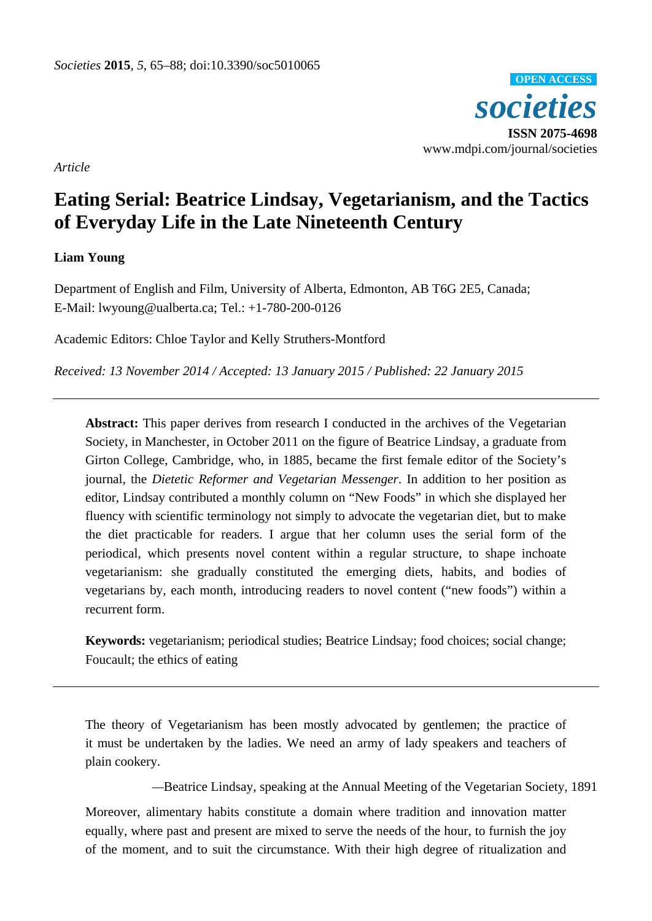

*Article*

# **Eating Serial: Beatrice Lindsay, Vegetarianism, and the Tactics of Everyday Life in the Late Nineteenth Century**

# **Liam Young**

Department of English and Film, University of Alberta, Edmonton, AB T6G 2E5, Canada; E-Mail: lwyoung@ualberta.ca; Tel.: +1-780-200-0126

Academic Editors: Chloe Taylor and Kelly Struthers-Montford

*Received: 13 November 2014 / Accepted: 13 January 2015 / Published: 22 January 2015*

**Abstract:** This paper derives from research I conducted in the archives of the Vegetarian Society, in Manchester, in October 2011 on the figure of Beatrice Lindsay, a graduate from Girton College, Cambridge, who, in 1885, became the first female editor of the Society's journal, the *Dietetic Reformer and Vegetarian Messenger*. In addition to her position as editor, Lindsay contributed a monthly column on "New Foods" in which she displayed her fluency with scientific terminology not simply to advocate the vegetarian diet, but to make the diet practicable for readers. I argue that her column uses the serial form of the periodical, which presents novel content within a regular structure, to shape inchoate vegetarianism: she gradually constituted the emerging diets, habits, and bodies of vegetarians by, each month, introducing readers to novel content ("new foods") within a recurrent form.

**Keywords:** vegetarianism; periodical studies; Beatrice Lindsay; food choices; social change; Foucault; the ethics of eating

The theory of Vegetarianism has been mostly advocated by gentlemen; the practice of it must be undertaken by the ladies. We need an army of lady speakers and teachers of plain cookery.

*—*Beatrice Lindsay, speaking at the Annual Meeting of the Vegetarian Society, 1891

Moreover, alimentary habits constitute a domain where tradition and innovation matter equally, where past and present are mixed to serve the needs of the hour, to furnish the joy of the moment, and to suit the circumstance. With their high degree of ritualization and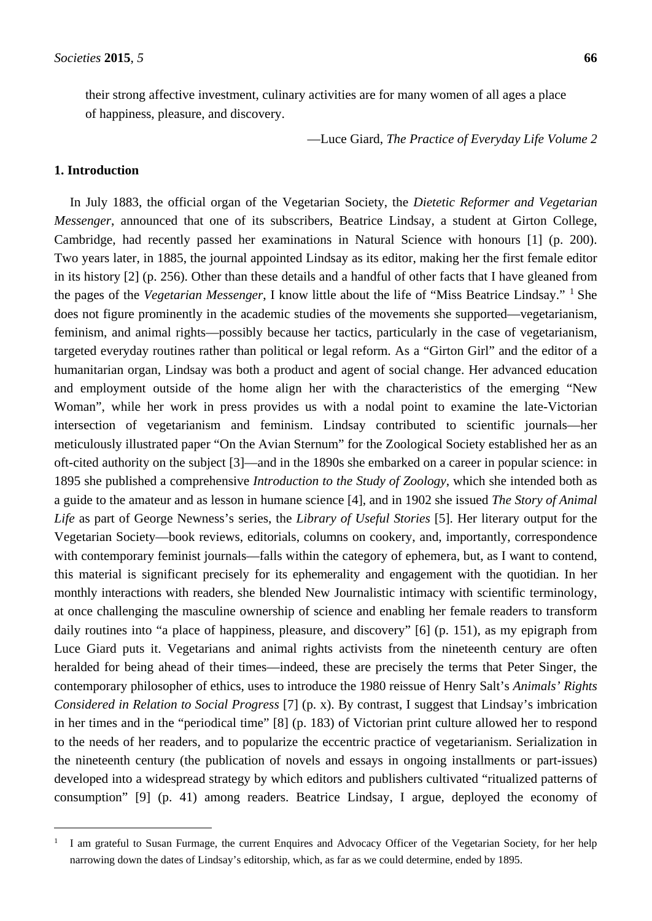their strong affective investment, culinary activities are for many women of all ages a place of happiness, pleasure, and discovery.

—Luce Giard, *The Practice of Everyday Life Volume 2*

# **1. Introduction**

 $\overline{a}$ 

In July 1883, the official organ of the Vegetarian Society, the *Dietetic Reformer and Vegetarian Messenger*, announced that one of its subscribers, Beatrice Lindsay, a student at Girton College, Cambridge, had recently passed her examinations in Natural Science with honours [1] (p. 200). Two years later, in 1885, the journal appointed Lindsay as its editor, making her the first female editor in its history [2] (p. 256). Other than these details and a handful of other facts that I have gleaned from the pages of the *Vegetarian Messenger*, I know little about the life of "Miss Beatrice Lindsay." [1](#page-1-0) She does not figure prominently in the academic studies of the movements she supported—vegetarianism, feminism, and animal rights—possibly because her tactics, particularly in the case of vegetarianism, targeted everyday routines rather than political or legal reform. As a "Girton Girl" and the editor of a humanitarian organ, Lindsay was both a product and agent of social change. Her advanced education and employment outside of the home align her with the characteristics of the emerging "New Woman", while her work in press provides us with a nodal point to examine the late-Victorian intersection of vegetarianism and feminism. Lindsay contributed to scientific journals—her meticulously illustrated paper "On the Avian Sternum" for the Zoological Society established her as an oft-cited authority on the subject [3]—and in the 1890s she embarked on a career in popular science: in 1895 she published a comprehensive *Introduction to the Study of Zoology*, which she intended both as a guide to the amateur and as lesson in humane science [4], and in 1902 she issued *The Story of Animal Life* as part of George Newness's series, the *Library of Useful Stories* [5]. Her literary output for the Vegetarian Society—book reviews, editorials, columns on cookery, and, importantly, correspondence with contemporary feminist journals—falls within the category of ephemera, but, as I want to contend, this material is significant precisely for its ephemerality and engagement with the quotidian. In her monthly interactions with readers, she blended New Journalistic intimacy with scientific terminology, at once challenging the masculine ownership of science and enabling her female readers to transform daily routines into "a place of happiness, pleasure, and discovery" [6] (p. 151), as my epigraph from Luce Giard puts it. Vegetarians and animal rights activists from the nineteenth century are often heralded for being ahead of their times—indeed, these are precisely the terms that Peter Singer, the contemporary philosopher of ethics, uses to introduce the 1980 reissue of Henry Salt's *Animals' Rights Considered in Relation to Social Progress* [7] (p. x). By contrast, I suggest that Lindsay's imbrication in her times and in the "periodical time" [8] (p. 183) of Victorian print culture allowed her to respond to the needs of her readers, and to popularize the eccentric practice of vegetarianism. Serialization in the nineteenth century (the publication of novels and essays in ongoing installments or part-issues) developed into a widespread strategy by which editors and publishers cultivated "ritualized patterns of consumption" [9] (p. 41) among readers. Beatrice Lindsay, I argue, deployed the economy of

<span id="page-1-0"></span><sup>1</sup> I am grateful to Susan Furmage, the current Enquires and Advocacy Officer of the Vegetarian Society, for her help narrowing down the dates of Lindsay's editorship, which, as far as we could determine, ended by 1895.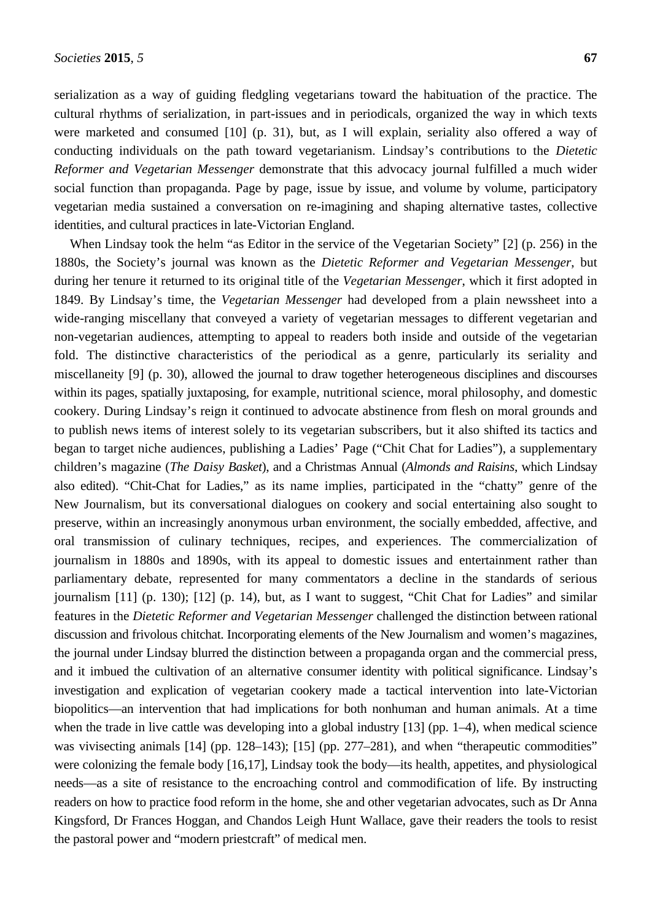serialization as a way of guiding fledgling vegetarians toward the habituation of the practice. The cultural rhythms of serialization, in part-issues and in periodicals, organized the way in which texts were marketed and consumed [10] (p. 31), but, as I will explain, seriality also offered a way of conducting individuals on the path toward vegetarianism. Lindsay's contributions to the *Dietetic Reformer and Vegetarian Messenger* demonstrate that this advocacy journal fulfilled a much wider social function than propaganda. Page by page, issue by issue, and volume by volume, participatory vegetarian media sustained a conversation on re-imagining and shaping alternative tastes, collective identities, and cultural practices in late-Victorian England.

When Lindsay took the helm "as Editor in the service of the Vegetarian Society" [2] (p. 256) in the 1880s, the Society's journal was known as the *Dietetic Reformer and Vegetarian Messenger*, but during her tenure it returned to its original title of the *Vegetarian Messenger*, which it first adopted in 1849. By Lindsay's time, the *Vegetarian Messenger* had developed from a plain newssheet into a wide-ranging miscellany that conveyed a variety of vegetarian messages to different vegetarian and non-vegetarian audiences, attempting to appeal to readers both inside and outside of the vegetarian fold. The distinctive characteristics of the periodical as a genre, particularly its seriality and miscellaneity [9] (p. 30), allowed the journal to draw together heterogeneous disciplines and discourses within its pages, spatially juxtaposing, for example, nutritional science, moral philosophy, and domestic cookery. During Lindsay's reign it continued to advocate abstinence from flesh on moral grounds and to publish news items of interest solely to its vegetarian subscribers, but it also shifted its tactics and began to target niche audiences, publishing a Ladies' Page ("Chit Chat for Ladies"), a supplementary children's magazine (*The Daisy Basket*), and a Christmas Annual (*Almonds and Raisins*, which Lindsay also edited). "Chit-Chat for Ladies," as its name implies, participated in the "chatty" genre of the New Journalism, but its conversational dialogues on cookery and social entertaining also sought to preserve, within an increasingly anonymous urban environment, the socially embedded, affective, and oral transmission of culinary techniques, recipes, and experiences. The commercialization of journalism in 1880s and 1890s, with its appeal to domestic issues and entertainment rather than parliamentary debate, represented for many commentators a decline in the standards of serious journalism [11] (p. 130); [12] (p. 14), but, as I want to suggest, "Chit Chat for Ladies" and similar features in the *Dietetic Reformer and Vegetarian Messenger* challenged the distinction between rational discussion and frivolous chitchat. Incorporating elements of the New Journalism and women's magazines, the journal under Lindsay blurred the distinction between a propaganda organ and the commercial press, and it imbued the cultivation of an alternative consumer identity with political significance. Lindsay's investigation and explication of vegetarian cookery made a tactical intervention into late-Victorian biopolitics—an intervention that had implications for both nonhuman and human animals. At a time when the trade in live cattle was developing into a global industry [13] (pp. 1–4), when medical science was vivisecting animals [14] (pp. 128–143); [15] (pp. 277–281), and when "therapeutic commodities" were colonizing the female body [16,17], Lindsay took the body—its health, appetites, and physiological needs—as a site of resistance to the encroaching control and commodification of life. By instructing readers on how to practice food reform in the home, she and other vegetarian advocates, such as Dr Anna Kingsford, Dr Frances Hoggan, and Chandos Leigh Hunt Wallace, gave their readers the tools to resist the pastoral power and "modern priestcraft" of medical men.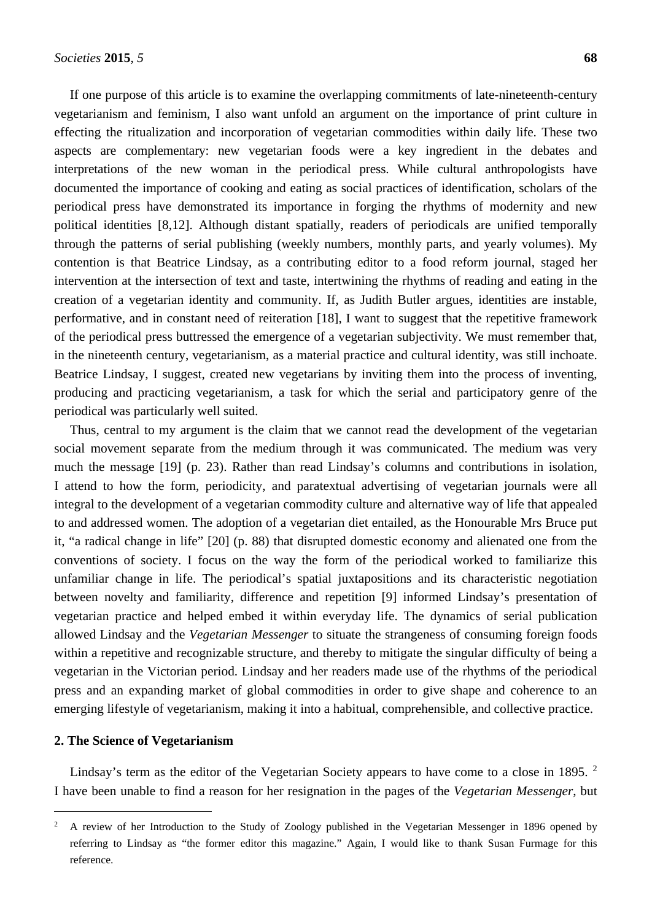If one purpose of this article is to examine the overlapping commitments of late-nineteenth-century vegetarianism and feminism, I also want unfold an argument on the importance of print culture in effecting the ritualization and incorporation of vegetarian commodities within daily life. These two aspects are complementary: new vegetarian foods were a key ingredient in the debates and interpretations of the new woman in the periodical press. While cultural anthropologists have documented the importance of cooking and eating as social practices of identification, scholars of the periodical press have demonstrated its importance in forging the rhythms of modernity and new political identities [8,12]. Although distant spatially, readers of periodicals are unified temporally through the patterns of serial publishing (weekly numbers, monthly parts, and yearly volumes). My contention is that Beatrice Lindsay, as a contributing editor to a food reform journal, staged her intervention at the intersection of text and taste, intertwining the rhythms of reading and eating in the creation of a vegetarian identity and community. If, as Judith Butler argues, identities are instable, performative, and in constant need of reiteration [18], I want to suggest that the repetitive framework of the periodical press buttressed the emergence of a vegetarian subjectivity. We must remember that, in the nineteenth century, vegetarianism, as a material practice and cultural identity, was still inchoate. Beatrice Lindsay, I suggest, created new vegetarians by inviting them into the process of inventing, producing and practicing vegetarianism, a task for which the serial and participatory genre of the periodical was particularly well suited.

Thus, central to my argument is the claim that we cannot read the development of the vegetarian social movement separate from the medium through it was communicated. The medium was very much the message [19] (p. 23). Rather than read Lindsay's columns and contributions in isolation, I attend to how the form, periodicity, and paratextual advertising of vegetarian journals were all integral to the development of a vegetarian commodity culture and alternative way of life that appealed to and addressed women. The adoption of a vegetarian diet entailed, as the Honourable Mrs Bruce put it, "a radical change in life" [20] (p. 88) that disrupted domestic economy and alienated one from the conventions of society. I focus on the way the form of the periodical worked to familiarize this unfamiliar change in life. The periodical's spatial juxtapositions and its characteristic negotiation between novelty and familiarity, difference and repetition [9] informed Lindsay's presentation of vegetarian practice and helped embed it within everyday life. The dynamics of serial publication allowed Lindsay and the *Vegetarian Messenger* to situate the strangeness of consuming foreign foods within a repetitive and recognizable structure, and thereby to mitigate the singular difficulty of being a vegetarian in the Victorian period. Lindsay and her readers made use of the rhythms of the periodical press and an expanding market of global commodities in order to give shape and coherence to an emerging lifestyle of vegetarianism, making it into a habitual, comprehensible, and collective practice.

### **2. The Science of Vegetarianism**

 $\overline{a}$ 

Lindsay's term as the editor of the Vegetarian Society appears to have come to a close in 1895. <sup>[2](#page-3-0)</sup> I have been unable to find a reason for her resignation in the pages of the *Vegetarian Messenger*, but

<span id="page-3-0"></span><sup>&</sup>lt;sup>2</sup> A review of her Introduction to the Study of Zoology published in the Vegetarian Messenger in 1896 opened by referring to Lindsay as "the former editor this magazine." Again, I would like to thank Susan Furmage for this reference.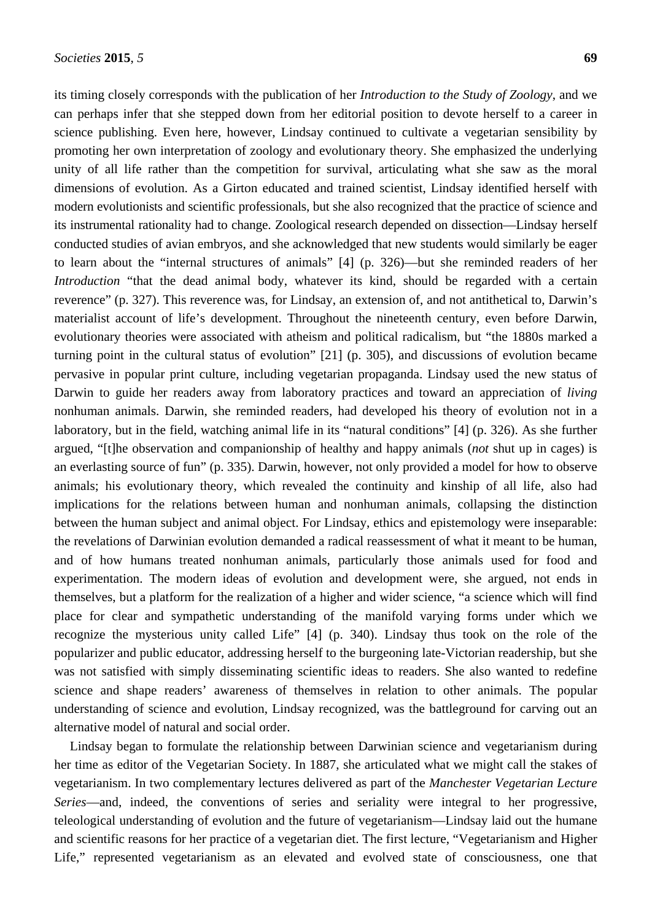its timing closely corresponds with the publication of her *Introduction to the Study of Zoology*, and we can perhaps infer that she stepped down from her editorial position to devote herself to a career in science publishing. Even here, however, Lindsay continued to cultivate a vegetarian sensibility by promoting her own interpretation of zoology and evolutionary theory. She emphasized the underlying unity of all life rather than the competition for survival, articulating what she saw as the moral dimensions of evolution. As a Girton educated and trained scientist, Lindsay identified herself with modern evolutionists and scientific professionals, but she also recognized that the practice of science and its instrumental rationality had to change. Zoological research depended on dissection—Lindsay herself conducted studies of avian embryos, and she acknowledged that new students would similarly be eager to learn about the "internal structures of animals" [4] (p. 326)—but she reminded readers of her *Introduction* "that the dead animal body, whatever its kind, should be regarded with a certain reverence" (p. 327). This reverence was, for Lindsay, an extension of, and not antithetical to, Darwin's materialist account of life's development. Throughout the nineteenth century, even before Darwin, evolutionary theories were associated with atheism and political radicalism, but "the 1880s marked a turning point in the cultural status of evolution" [21] (p. 305), and discussions of evolution became pervasive in popular print culture, including vegetarian propaganda. Lindsay used the new status of Darwin to guide her readers away from laboratory practices and toward an appreciation of *living* nonhuman animals. Darwin, she reminded readers, had developed his theory of evolution not in a laboratory, but in the field, watching animal life in its "natural conditions" [4] (p. 326). As she further argued, "[t]he observation and companionship of healthy and happy animals (*not* shut up in cages) is an everlasting source of fun" (p. 335). Darwin, however, not only provided a model for how to observe animals; his evolutionary theory, which revealed the continuity and kinship of all life, also had implications for the relations between human and nonhuman animals, collapsing the distinction between the human subject and animal object. For Lindsay, ethics and epistemology were inseparable: the revelations of Darwinian evolution demanded a radical reassessment of what it meant to be human, and of how humans treated nonhuman animals, particularly those animals used for food and experimentation. The modern ideas of evolution and development were, she argued, not ends in themselves, but a platform for the realization of a higher and wider science, "a science which will find place for clear and sympathetic understanding of the manifold varying forms under which we recognize the mysterious unity called Life" [4] (p. 340). Lindsay thus took on the role of the popularizer and public educator, addressing herself to the burgeoning late-Victorian readership, but she was not satisfied with simply disseminating scientific ideas to readers. She also wanted to redefine science and shape readers' awareness of themselves in relation to other animals. The popular understanding of science and evolution, Lindsay recognized, was the battleground for carving out an alternative model of natural and social order.

Lindsay began to formulate the relationship between Darwinian science and vegetarianism during her time as editor of the Vegetarian Society. In 1887, she articulated what we might call the stakes of vegetarianism. In two complementary lectures delivered as part of the *Manchester Vegetarian Lecture Series*—and, indeed, the conventions of series and seriality were integral to her progressive, teleological understanding of evolution and the future of vegetarianism—Lindsay laid out the humane and scientific reasons for her practice of a vegetarian diet. The first lecture, "Vegetarianism and Higher Life," represented vegetarianism as an elevated and evolved state of consciousness, one that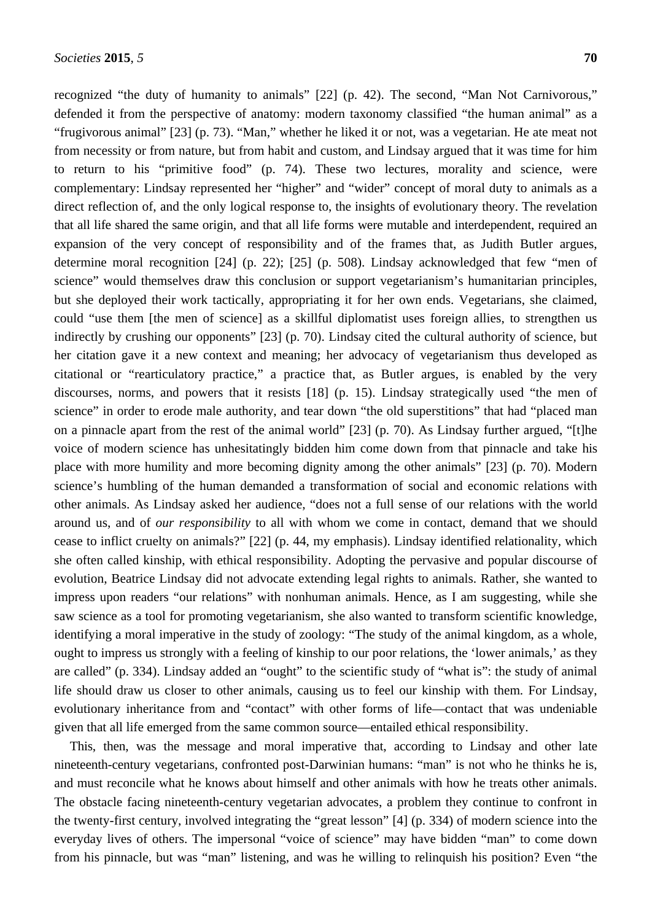recognized "the duty of humanity to animals" [22] (p. 42). The second, "Man Not Carnivorous," defended it from the perspective of anatomy: modern taxonomy classified "the human animal" as a "frugivorous animal" [23] (p. 73). "Man," whether he liked it or not, was a vegetarian. He ate meat not from necessity or from nature, but from habit and custom, and Lindsay argued that it was time for him to return to his "primitive food" (p. 74). These two lectures, morality and science, were complementary: Lindsay represented her "higher" and "wider" concept of moral duty to animals as a direct reflection of, and the only logical response to, the insights of evolutionary theory. The revelation that all life shared the same origin, and that all life forms were mutable and interdependent, required an expansion of the very concept of responsibility and of the frames that, as Judith Butler argues, determine moral recognition [24] (p. 22); [25] (p. 508). Lindsay acknowledged that few "men of science" would themselves draw this conclusion or support vegetarianism's humanitarian principles, but she deployed their work tactically, appropriating it for her own ends. Vegetarians, she claimed, could "use them [the men of science] as a skillful diplomatist uses foreign allies, to strengthen us indirectly by crushing our opponents" [23] (p. 70). Lindsay cited the cultural authority of science, but her citation gave it a new context and meaning; her advocacy of vegetarianism thus developed as citational or "rearticulatory practice," a practice that, as Butler argues, is enabled by the very discourses, norms, and powers that it resists [18] (p. 15). Lindsay strategically used "the men of science" in order to erode male authority, and tear down "the old superstitions" that had "placed man on a pinnacle apart from the rest of the animal world" [23] (p. 70). As Lindsay further argued, "[t]he voice of modern science has unhesitatingly bidden him come down from that pinnacle and take his place with more humility and more becoming dignity among the other animals" [23] (p. 70). Modern science's humbling of the human demanded a transformation of social and economic relations with other animals. As Lindsay asked her audience, "does not a full sense of our relations with the world around us, and of *our responsibility* to all with whom we come in contact, demand that we should cease to inflict cruelty on animals?" [22] (p. 44, my emphasis). Lindsay identified relationality, which she often called kinship, with ethical responsibility. Adopting the pervasive and popular discourse of evolution, Beatrice Lindsay did not advocate extending legal rights to animals. Rather, she wanted to impress upon readers "our relations" with nonhuman animals. Hence, as I am suggesting, while she saw science as a tool for promoting vegetarianism, she also wanted to transform scientific knowledge, identifying a moral imperative in the study of zoology: "The study of the animal kingdom, as a whole, ought to impress us strongly with a feeling of kinship to our poor relations, the 'lower animals,' as they are called" (p. 334). Lindsay added an "ought" to the scientific study of "what is": the study of animal life should draw us closer to other animals, causing us to feel our kinship with them. For Lindsay, evolutionary inheritance from and "contact" with other forms of life—contact that was undeniable given that all life emerged from the same common source—entailed ethical responsibility.

This, then, was the message and moral imperative that, according to Lindsay and other late nineteenth-century vegetarians, confronted post-Darwinian humans: "man" is not who he thinks he is, and must reconcile what he knows about himself and other animals with how he treats other animals. The obstacle facing nineteenth-century vegetarian advocates, a problem they continue to confront in the twenty-first century, involved integrating the "great lesson" [4] (p. 334) of modern science into the everyday lives of others. The impersonal "voice of science" may have bidden "man" to come down from his pinnacle, but was "man" listening, and was he willing to relinquish his position? Even "the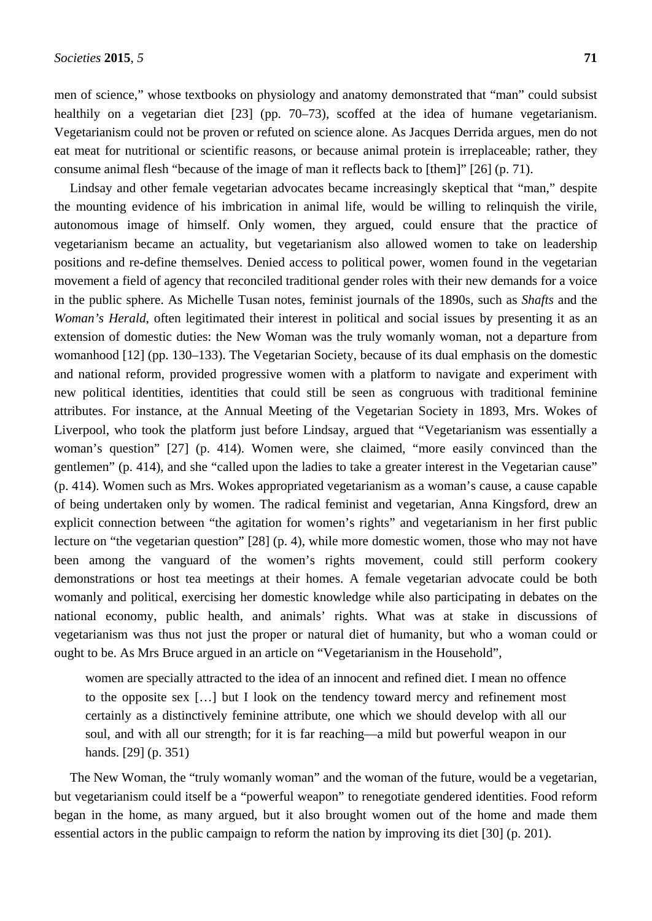men of science," whose textbooks on physiology and anatomy demonstrated that "man" could subsist healthily on a vegetarian diet [23] (pp. 70–73), scoffed at the idea of humane vegetarianism. Vegetarianism could not be proven or refuted on science alone. As Jacques Derrida argues, men do not eat meat for nutritional or scientific reasons, or because animal protein is irreplaceable; rather, they consume animal flesh "because of the image of man it reflects back to [them]" [26] (p. 71).

Lindsay and other female vegetarian advocates became increasingly skeptical that "man," despite the mounting evidence of his imbrication in animal life, would be willing to relinquish the virile, autonomous image of himself. Only women, they argued, could ensure that the practice of vegetarianism became an actuality, but vegetarianism also allowed women to take on leadership positions and re-define themselves. Denied access to political power, women found in the vegetarian movement a field of agency that reconciled traditional gender roles with their new demands for a voice in the public sphere. As Michelle Tusan notes, feminist journals of the 1890s, such as *Shafts* and the *Woman's Herald*, often legitimated their interest in political and social issues by presenting it as an extension of domestic duties: the New Woman was the truly womanly woman, not a departure from womanhood [12] (pp. 130–133). The Vegetarian Society, because of its dual emphasis on the domestic and national reform, provided progressive women with a platform to navigate and experiment with new political identities, identities that could still be seen as congruous with traditional feminine attributes. For instance, at the Annual Meeting of the Vegetarian Society in 1893, Mrs. Wokes of Liverpool, who took the platform just before Lindsay, argued that "Vegetarianism was essentially a woman's question" [27] (p. 414). Women were, she claimed, "more easily convinced than the gentlemen" (p. 414), and she "called upon the ladies to take a greater interest in the Vegetarian cause" (p. 414). Women such as Mrs. Wokes appropriated vegetarianism as a woman's cause, a cause capable of being undertaken only by women. The radical feminist and vegetarian, Anna Kingsford, drew an explicit connection between "the agitation for women's rights" and vegetarianism in her first public lecture on "the vegetarian question" [28] (p. 4), while more domestic women, those who may not have been among the vanguard of the women's rights movement, could still perform cookery demonstrations or host tea meetings at their homes. A female vegetarian advocate could be both womanly and political, exercising her domestic knowledge while also participating in debates on the national economy, public health, and animals' rights. What was at stake in discussions of vegetarianism was thus not just the proper or natural diet of humanity, but who a woman could or ought to be. As Mrs Bruce argued in an article on "Vegetarianism in the Household",

women are specially attracted to the idea of an innocent and refined diet. I mean no offence to the opposite sex […] but I look on the tendency toward mercy and refinement most certainly as a distinctively feminine attribute, one which we should develop with all our soul, and with all our strength; for it is far reaching—a mild but powerful weapon in our hands. [29] (p. 351)

The New Woman, the "truly womanly woman" and the woman of the future, would be a vegetarian, but vegetarianism could itself be a "powerful weapon" to renegotiate gendered identities. Food reform began in the home, as many argued, but it also brought women out of the home and made them essential actors in the public campaign to reform the nation by improving its diet [30] (p. 201).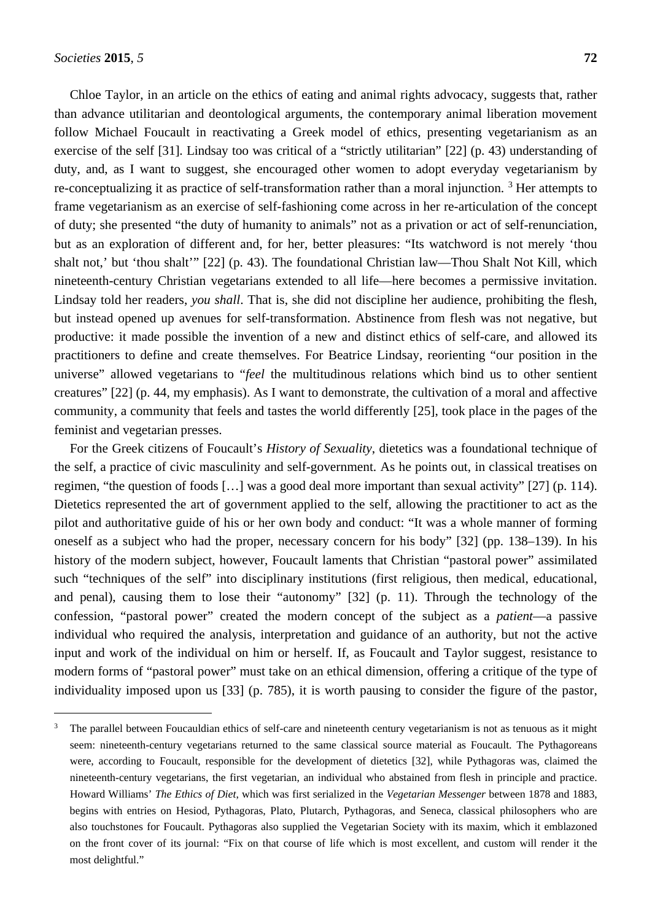$\overline{a}$ 

Chloe Taylor, in an article on the ethics of eating and animal rights advocacy, suggests that, rather than advance utilitarian and deontological arguments, the contemporary animal liberation movement follow Michael Foucault in reactivating a Greek model of ethics, presenting vegetarianism as an exercise of the self [31]. Lindsay too was critical of a "strictly utilitarian" [22] (p. 43) understanding of duty, and, as I want to suggest, she encouraged other women to adopt everyday vegetarianism by re-conceptualizing it as practice of self-transformation rather than a moral injunction.<sup>[3](#page-7-0)</sup> Her attempts to frame vegetarianism as an exercise of self-fashioning come across in her re-articulation of the concept of duty; she presented "the duty of humanity to animals" not as a privation or act of self-renunciation, but as an exploration of different and, for her, better pleasures: "Its watchword is not merely 'thou shalt not,' but 'thou shalt'" [22] (p. 43). The foundational Christian law—Thou Shalt Not Kill, which nineteenth-century Christian vegetarians extended to all life—here becomes a permissive invitation. Lindsay told her readers, *you shall*. That is, she did not discipline her audience, prohibiting the flesh, but instead opened up avenues for self-transformation. Abstinence from flesh was not negative, but productive: it made possible the invention of a new and distinct ethics of self-care, and allowed its practitioners to define and create themselves. For Beatrice Lindsay, reorienting "our position in the universe" allowed vegetarians to "*feel* the multitudinous relations which bind us to other sentient creatures" [22] (p. 44, my emphasis). As I want to demonstrate, the cultivation of a moral and affective community, a community that feels and tastes the world differently [25], took place in the pages of the feminist and vegetarian presses.

For the Greek citizens of Foucault's *History of Sexuality*, dietetics was a foundational technique of the self, a practice of civic masculinity and self-government. As he points out, in classical treatises on regimen, "the question of foods […] was a good deal more important than sexual activity" [27] (p. 114). Dietetics represented the art of government applied to the self, allowing the practitioner to act as the pilot and authoritative guide of his or her own body and conduct: "It was a whole manner of forming oneself as a subject who had the proper, necessary concern for his body" [32] (pp. 138–139). In his history of the modern subject, however, Foucault laments that Christian "pastoral power" assimilated such "techniques of the self" into disciplinary institutions (first religious, then medical, educational, and penal), causing them to lose their "autonomy" [32] (p. 11). Through the technology of the confession, "pastoral power" created the modern concept of the subject as a *patient*—a passive individual who required the analysis, interpretation and guidance of an authority, but not the active input and work of the individual on him or herself. If, as Foucault and Taylor suggest, resistance to modern forms of "pastoral power" must take on an ethical dimension, offering a critique of the type of individuality imposed upon us [33] (p. 785), it is worth pausing to consider the figure of the pastor,

<span id="page-7-0"></span><sup>&</sup>lt;sup>3</sup> The parallel between Foucauldian ethics of self-care and nineteenth century vegetarianism is not as tenuous as it might seem: nineteenth-century vegetarians returned to the same classical source material as Foucault. The Pythagoreans were, according to Foucault, responsible for the development of dietetics [32], while Pythagoras was, claimed the nineteenth-century vegetarians, the first vegetarian, an individual who abstained from flesh in principle and practice. Howard Williams' *The Ethics of Diet*, which was first serialized in the *Vegetarian Messenger* between 1878 and 1883, begins with entries on Hesiod, Pythagoras, Plato, Plutarch, Pythagoras, and Seneca, classical philosophers who are also touchstones for Foucault. Pythagoras also supplied the Vegetarian Society with its maxim, which it emblazoned on the front cover of its journal: "Fix on that course of life which is most excellent, and custom will render it the most delightful."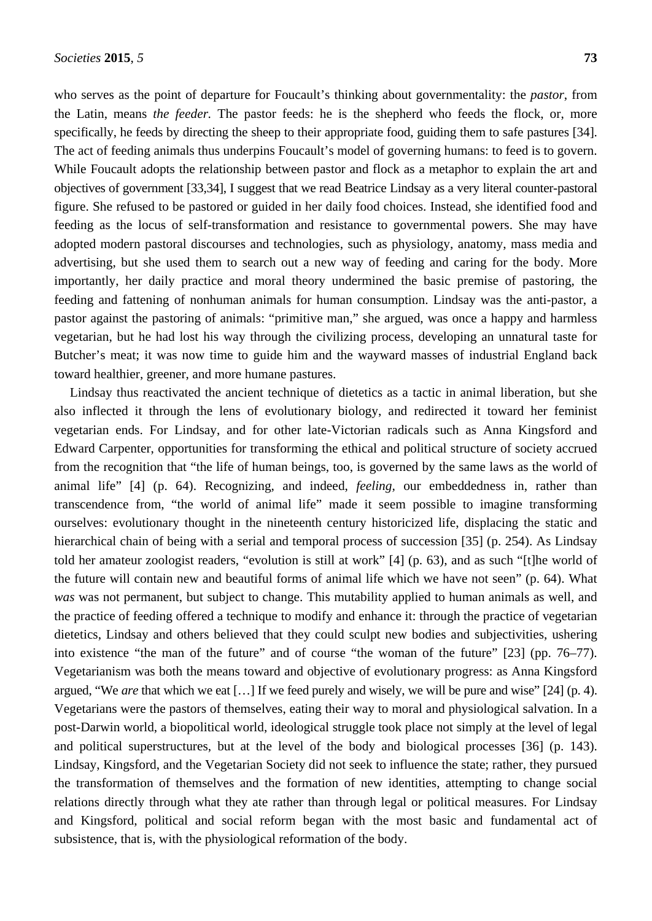who serves as the point of departure for Foucault's thinking about governmentality: the *pastor*, from the Latin, means *the feeder.* The pastor feeds: he is the shepherd who feeds the flock, or, more specifically, he feeds by directing the sheep to their appropriate food, guiding them to safe pastures [34]. The act of feeding animals thus underpins Foucault's model of governing humans: to feed is to govern. While Foucault adopts the relationship between pastor and flock as a metaphor to explain the art and objectives of government [33,34], I suggest that we read Beatrice Lindsay as a very literal counter-pastoral figure. She refused to be pastored or guided in her daily food choices. Instead, she identified food and feeding as the locus of self-transformation and resistance to governmental powers. She may have adopted modern pastoral discourses and technologies, such as physiology, anatomy, mass media and advertising, but she used them to search out a new way of feeding and caring for the body. More importantly, her daily practice and moral theory undermined the basic premise of pastoring, the feeding and fattening of nonhuman animals for human consumption. Lindsay was the anti-pastor, a pastor against the pastoring of animals: "primitive man," she argued, was once a happy and harmless vegetarian, but he had lost his way through the civilizing process, developing an unnatural taste for Butcher's meat; it was now time to guide him and the wayward masses of industrial England back toward healthier, greener, and more humane pastures.

Lindsay thus reactivated the ancient technique of dietetics as a tactic in animal liberation, but she also inflected it through the lens of evolutionary biology, and redirected it toward her feminist vegetarian ends. For Lindsay, and for other late-Victorian radicals such as Anna Kingsford and Edward Carpenter, opportunities for transforming the ethical and political structure of society accrued from the recognition that "the life of human beings, too, is governed by the same laws as the world of animal life" [4] (p. 64). Recognizing, and indeed, *feeling,* our embeddedness in, rather than transcendence from, "the world of animal life" made it seem possible to imagine transforming ourselves: evolutionary thought in the nineteenth century historicized life, displacing the static and hierarchical chain of being with a serial and temporal process of succession [35] (p. 254). As Lindsay told her amateur zoologist readers, "evolution is still at work" [4] (p. 63), and as such "[t]he world of the future will contain new and beautiful forms of animal life which we have not seen" (p. 64). What *was* was not permanent, but subject to change. This mutability applied to human animals as well, and the practice of feeding offered a technique to modify and enhance it: through the practice of vegetarian dietetics, Lindsay and others believed that they could sculpt new bodies and subjectivities, ushering into existence "the man of the future" and of course "the woman of the future" [23] (pp. 76–77). Vegetarianism was both the means toward and objective of evolutionary progress: as Anna Kingsford argued, "We *are* that which we eat […] If we feed purely and wisely, we will be pure and wise" [24] (p. 4). Vegetarians were the pastors of themselves, eating their way to moral and physiological salvation. In a post-Darwin world, a biopolitical world, ideological struggle took place not simply at the level of legal and political superstructures, but at the level of the body and biological processes [36] (p. 143). Lindsay, Kingsford, and the Vegetarian Society did not seek to influence the state; rather, they pursued the transformation of themselves and the formation of new identities, attempting to change social relations directly through what they ate rather than through legal or political measures. For Lindsay and Kingsford, political and social reform began with the most basic and fundamental act of subsistence, that is, with the physiological reformation of the body.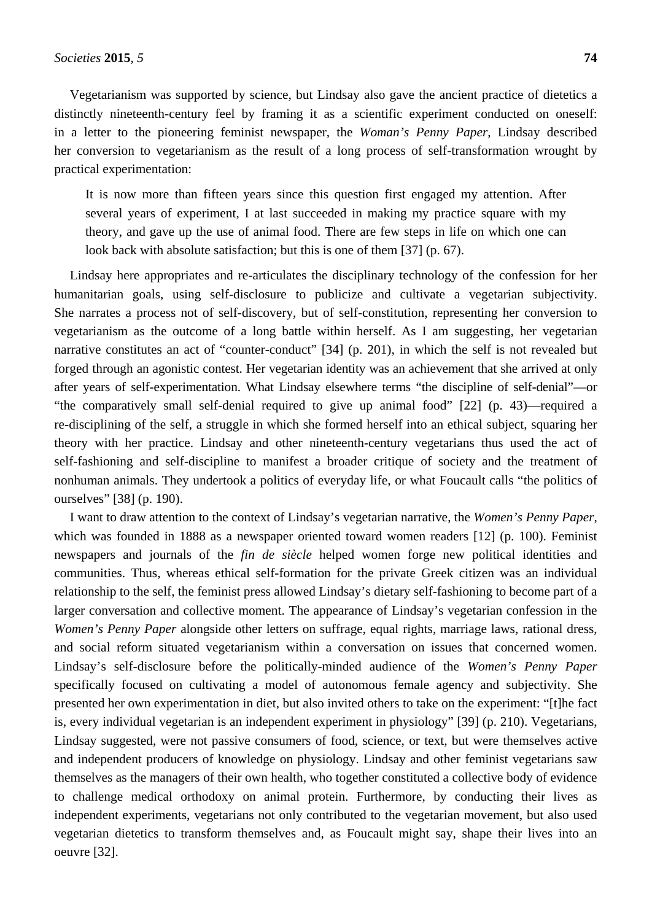Vegetarianism was supported by science, but Lindsay also gave the ancient practice of dietetics a distinctly nineteenth-century feel by framing it as a scientific experiment conducted on oneself: in a letter to the pioneering feminist newspaper, the *Woman's Penny Paper*, Lindsay described her conversion to vegetarianism as the result of a long process of self-transformation wrought by practical experimentation:

It is now more than fifteen years since this question first engaged my attention. After several years of experiment, I at last succeeded in making my practice square with my theory, and gave up the use of animal food. There are few steps in life on which one can look back with absolute satisfaction; but this is one of them [37] (p. 67).

Lindsay here appropriates and re-articulates the disciplinary technology of the confession for her humanitarian goals, using self-disclosure to publicize and cultivate a vegetarian subjectivity. She narrates a process not of self-discovery, but of self-constitution, representing her conversion to vegetarianism as the outcome of a long battle within herself. As I am suggesting, her vegetarian narrative constitutes an act of "counter-conduct" [34] (p. 201), in which the self is not revealed but forged through an agonistic contest. Her vegetarian identity was an achievement that she arrived at only after years of self-experimentation. What Lindsay elsewhere terms "the discipline of self-denial"—or "the comparatively small self-denial required to give up animal food" [22] (p. 43)—required a re-disciplining of the self, a struggle in which she formed herself into an ethical subject, squaring her theory with her practice. Lindsay and other nineteenth-century vegetarians thus used the act of self-fashioning and self-discipline to manifest a broader critique of society and the treatment of nonhuman animals. They undertook a politics of everyday life, or what Foucault calls "the politics of ourselves" [38] (p. 190).

I want to draw attention to the context of Lindsay's vegetarian narrative, the *Women's Penny Paper*, which was founded in 1888 as a newspaper oriented toward women readers [12] (p. 100). Feminist newspapers and journals of the *fin de siècle* helped women forge new political identities and communities. Thus, whereas ethical self-formation for the private Greek citizen was an individual relationship to the self, the feminist press allowed Lindsay's dietary self-fashioning to become part of a larger conversation and collective moment. The appearance of Lindsay's vegetarian confession in the *Women's Penny Paper* alongside other letters on suffrage, equal rights, marriage laws, rational dress, and social reform situated vegetarianism within a conversation on issues that concerned women. Lindsay's self-disclosure before the politically-minded audience of the *Women's Penny Paper* specifically focused on cultivating a model of autonomous female agency and subjectivity. She presented her own experimentation in diet, but also invited others to take on the experiment: "[t]he fact is, every individual vegetarian is an independent experiment in physiology" [39] (p. 210). Vegetarians, Lindsay suggested, were not passive consumers of food, science, or text, but were themselves active and independent producers of knowledge on physiology. Lindsay and other feminist vegetarians saw themselves as the managers of their own health, who together constituted a collective body of evidence to challenge medical orthodoxy on animal protein. Furthermore, by conducting their lives as independent experiments, vegetarians not only contributed to the vegetarian movement, but also used vegetarian dietetics to transform themselves and, as Foucault might say, shape their lives into an oeuvre [32].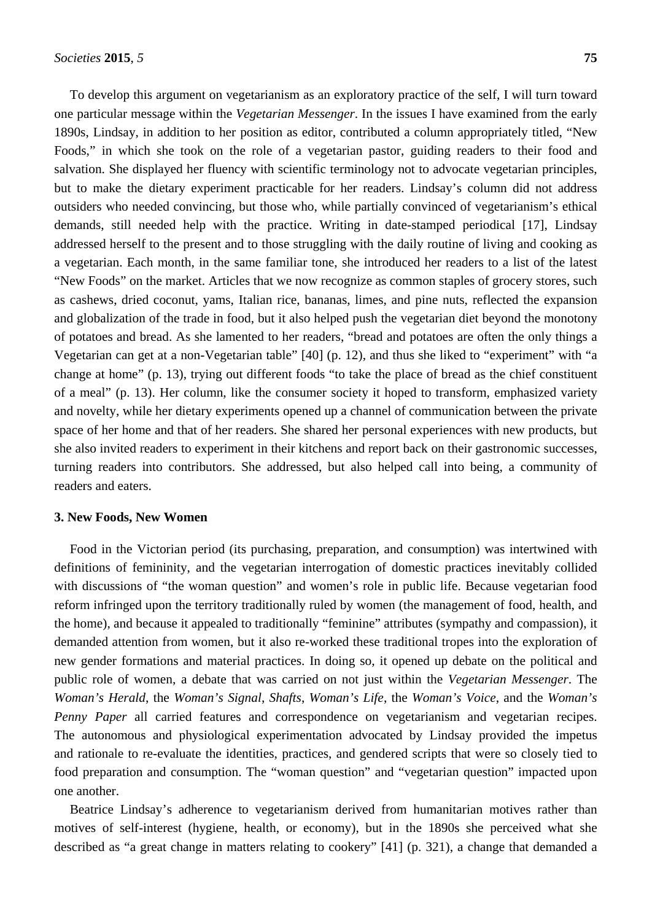To develop this argument on vegetarianism as an exploratory practice of the self, I will turn toward one particular message within the *Vegetarian Messenger*. In the issues I have examined from the early 1890s, Lindsay, in addition to her position as editor, contributed a column appropriately titled, "New Foods," in which she took on the role of a vegetarian pastor, guiding readers to their food and salvation. She displayed her fluency with scientific terminology not to advocate vegetarian principles, but to make the dietary experiment practicable for her readers. Lindsay's column did not address outsiders who needed convincing, but those who, while partially convinced of vegetarianism's ethical demands, still needed help with the practice. Writing in date-stamped periodical [17], Lindsay addressed herself to the present and to those struggling with the daily routine of living and cooking as a vegetarian. Each month, in the same familiar tone, she introduced her readers to a list of the latest "New Foods" on the market. Articles that we now recognize as common staples of grocery stores, such as cashews, dried coconut, yams, Italian rice, bananas, limes, and pine nuts, reflected the expansion and globalization of the trade in food, but it also helped push the vegetarian diet beyond the monotony of potatoes and bread. As she lamented to her readers, "bread and potatoes are often the only things a Vegetarian can get at a non-Vegetarian table" [40] (p. 12), and thus she liked to "experiment" with "a change at home" (p. 13), trying out different foods "to take the place of bread as the chief constituent of a meal" (p. 13). Her column, like the consumer society it hoped to transform, emphasized variety and novelty, while her dietary experiments opened up a channel of communication between the private space of her home and that of her readers. She shared her personal experiences with new products, but she also invited readers to experiment in their kitchens and report back on their gastronomic successes, turning readers into contributors. She addressed, but also helped call into being, a community of readers and eaters.

#### **3. New Foods, New Women**

Food in the Victorian period (its purchasing, preparation, and consumption) was intertwined with definitions of femininity, and the vegetarian interrogation of domestic practices inevitably collided with discussions of "the woman question" and women's role in public life. Because vegetarian food reform infringed upon the territory traditionally ruled by women (the management of food, health, and the home), and because it appealed to traditionally "feminine" attributes (sympathy and compassion), it demanded attention from women, but it also re-worked these traditional tropes into the exploration of new gender formations and material practices. In doing so, it opened up debate on the political and public role of women, a debate that was carried on not just within the *Vegetarian Messenger*. The *Woman's Herald*, the *Woman's Signal*, *Shafts*, *Woman's Life*, the *Woman's Voice*, and the *Woman's Penny Paper* all carried features and correspondence on vegetarianism and vegetarian recipes. The autonomous and physiological experimentation advocated by Lindsay provided the impetus and rationale to re-evaluate the identities, practices, and gendered scripts that were so closely tied to food preparation and consumption. The "woman question" and "vegetarian question" impacted upon one another.

Beatrice Lindsay's adherence to vegetarianism derived from humanitarian motives rather than motives of self-interest (hygiene, health, or economy), but in the 1890s she perceived what she described as "a great change in matters relating to cookery" [41] (p. 321), a change that demanded a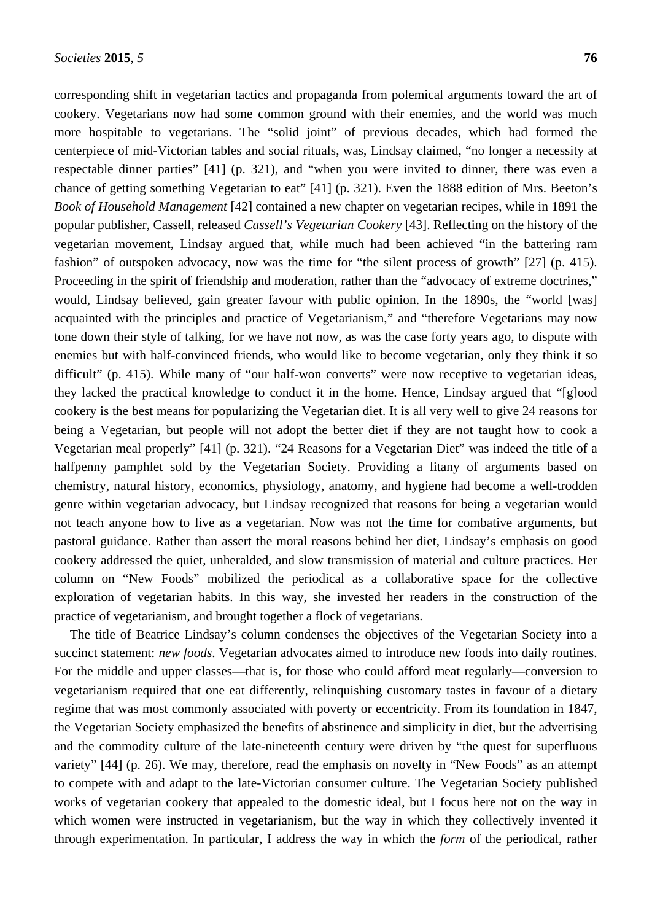corresponding shift in vegetarian tactics and propaganda from polemical arguments toward the art of cookery. Vegetarians now had some common ground with their enemies, and the world was much more hospitable to vegetarians. The "solid joint" of previous decades, which had formed the centerpiece of mid-Victorian tables and social rituals, was, Lindsay claimed, "no longer a necessity at respectable dinner parties" [41] (p. 321), and "when you were invited to dinner, there was even a chance of getting something Vegetarian to eat" [41] (p. 321). Even the 1888 edition of Mrs. Beeton's *Book of Household Management* [42] contained a new chapter on vegetarian recipes, while in 1891 the popular publisher, Cassell, released *Cassell's Vegetarian Cookery* [43]. Reflecting on the history of the vegetarian movement, Lindsay argued that, while much had been achieved "in the battering ram fashion" of outspoken advocacy, now was the time for "the silent process of growth" [27] (p. 415). Proceeding in the spirit of friendship and moderation, rather than the "advocacy of extreme doctrines," would, Lindsay believed, gain greater favour with public opinion. In the 1890s, the "world [was] acquainted with the principles and practice of Vegetarianism," and "therefore Vegetarians may now tone down their style of talking, for we have not now, as was the case forty years ago, to dispute with enemies but with half-convinced friends, who would like to become vegetarian, only they think it so difficult" (p. 415). While many of "our half-won converts" were now receptive to vegetarian ideas, they lacked the practical knowledge to conduct it in the home. Hence, Lindsay argued that "[g]ood cookery is the best means for popularizing the Vegetarian diet. It is all very well to give 24 reasons for being a Vegetarian, but people will not adopt the better diet if they are not taught how to cook a Vegetarian meal properly" [41] (p. 321). "24 Reasons for a Vegetarian Diet" was indeed the title of a halfpenny pamphlet sold by the Vegetarian Society. Providing a litany of arguments based on chemistry, natural history, economics, physiology, anatomy, and hygiene had become a well-trodden genre within vegetarian advocacy, but Lindsay recognized that reasons for being a vegetarian would not teach anyone how to live as a vegetarian. Now was not the time for combative arguments, but pastoral guidance. Rather than assert the moral reasons behind her diet, Lindsay's emphasis on good cookery addressed the quiet, unheralded, and slow transmission of material and culture practices. Her column on "New Foods" mobilized the periodical as a collaborative space for the collective exploration of vegetarian habits. In this way, she invested her readers in the construction of the practice of vegetarianism, and brought together a flock of vegetarians.

The title of Beatrice Lindsay's column condenses the objectives of the Vegetarian Society into a succinct statement: *new foods*. Vegetarian advocates aimed to introduce new foods into daily routines. For the middle and upper classes—that is, for those who could afford meat regularly—conversion to vegetarianism required that one eat differently, relinquishing customary tastes in favour of a dietary regime that was most commonly associated with poverty or eccentricity. From its foundation in 1847, the Vegetarian Society emphasized the benefits of abstinence and simplicity in diet, but the advertising and the commodity culture of the late-nineteenth century were driven by "the quest for superfluous variety" [44] (p. 26). We may, therefore, read the emphasis on novelty in "New Foods" as an attempt to compete with and adapt to the late-Victorian consumer culture. The Vegetarian Society published works of vegetarian cookery that appealed to the domestic ideal, but I focus here not on the way in which women were instructed in vegetarianism, but the way in which they collectively invented it through experimentation. In particular, I address the way in which the *form* of the periodical, rather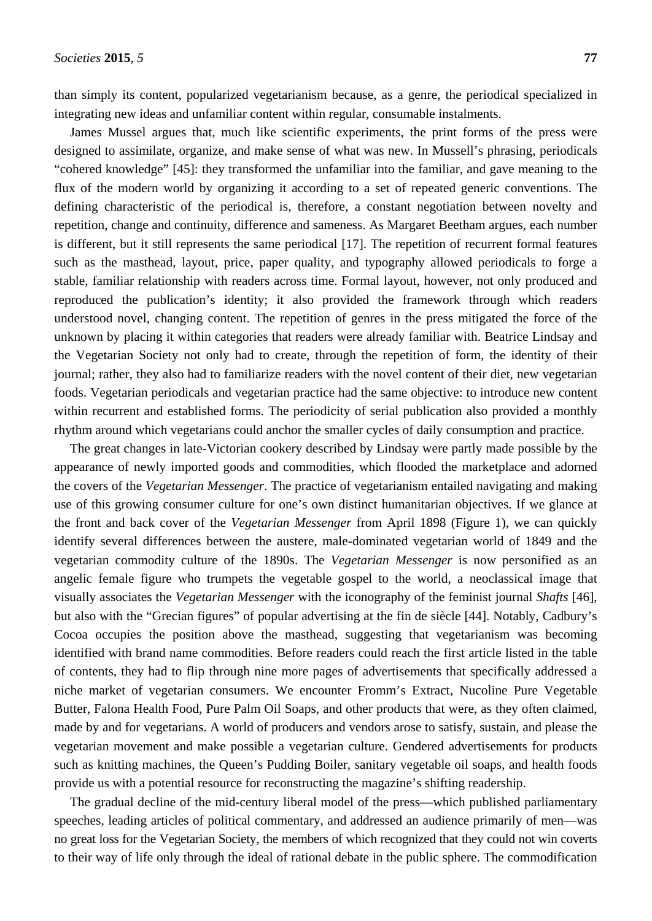than simply its content, popularized vegetarianism because, as a genre, the periodical specialized in integrating new ideas and unfamiliar content within regular, consumable instalments.

James Mussel argues that, much like scientific experiments, the print forms of the press were designed to assimilate, organize, and make sense of what was new. In Mussell's phrasing, periodicals "cohered knowledge" [45]: they transformed the unfamiliar into the familiar, and gave meaning to the flux of the modern world by organizing it according to a set of repeated generic conventions. The defining characteristic of the periodical is, therefore, a constant negotiation between novelty and repetition, change and continuity, difference and sameness. As Margaret Beetham argues, each number is different, but it still represents the same periodical [17]. The repetition of recurrent formal features such as the masthead, layout, price, paper quality, and typography allowed periodicals to forge a stable, familiar relationship with readers across time. Formal layout, however, not only produced and reproduced the publication's identity; it also provided the framework through which readers understood novel, changing content. The repetition of genres in the press mitigated the force of the unknown by placing it within categories that readers were already familiar with. Beatrice Lindsay and the Vegetarian Society not only had to create, through the repetition of form, the identity of their journal; rather, they also had to familiarize readers with the novel content of their diet, new vegetarian foods. Vegetarian periodicals and vegetarian practice had the same objective: to introduce new content within recurrent and established forms. The periodicity of serial publication also provided a monthly rhythm around which vegetarians could anchor the smaller cycles of daily consumption and practice.

The great changes in late-Victorian cookery described by Lindsay were partly made possible by the appearance of newly imported goods and commodities, which flooded the marketplace and adorned the covers of the *Vegetarian Messenger*. The practice of vegetarianism entailed navigating and making use of this growing consumer culture for one's own distinct humanitarian objectives. If we glance at the front and back cover of the *Vegetarian Messenger* from April 1898 (Figure 1), we can quickly identify several differences between the austere, male-dominated vegetarian world of 1849 and the vegetarian commodity culture of the 1890s. The *Vegetarian Messenger* is now personified as an angelic female figure who trumpets the vegetable gospel to the world, a neoclassical image that visually associates the *Vegetarian Messenger* with the iconography of the feminist journal *Shafts* [46], but also with the "Grecian figures" of popular advertising at the fin de siècle [44]. Notably, Cadbury's Cocoa occupies the position above the masthead, suggesting that vegetarianism was becoming identified with brand name commodities. Before readers could reach the first article listed in the table of contents, they had to flip through nine more pages of advertisements that specifically addressed a niche market of vegetarian consumers. We encounter Fromm's Extract, Nucoline Pure Vegetable Butter, Falona Health Food, Pure Palm Oil Soaps, and other products that were, as they often claimed, made by and for vegetarians. A world of producers and vendors arose to satisfy, sustain, and please the vegetarian movement and make possible a vegetarian culture. Gendered advertisements for products such as knitting machines, the Queen's Pudding Boiler, sanitary vegetable oil soaps, and health foods provide us with a potential resource for reconstructing the magazine's shifting readership.

The gradual decline of the mid-century liberal model of the press—which published parliamentary speeches, leading articles of political commentary, and addressed an audience primarily of men—was no great loss for the Vegetarian Society, the members of which recognized that they could not win coverts to their way of life only through the ideal of rational debate in the public sphere. The commodification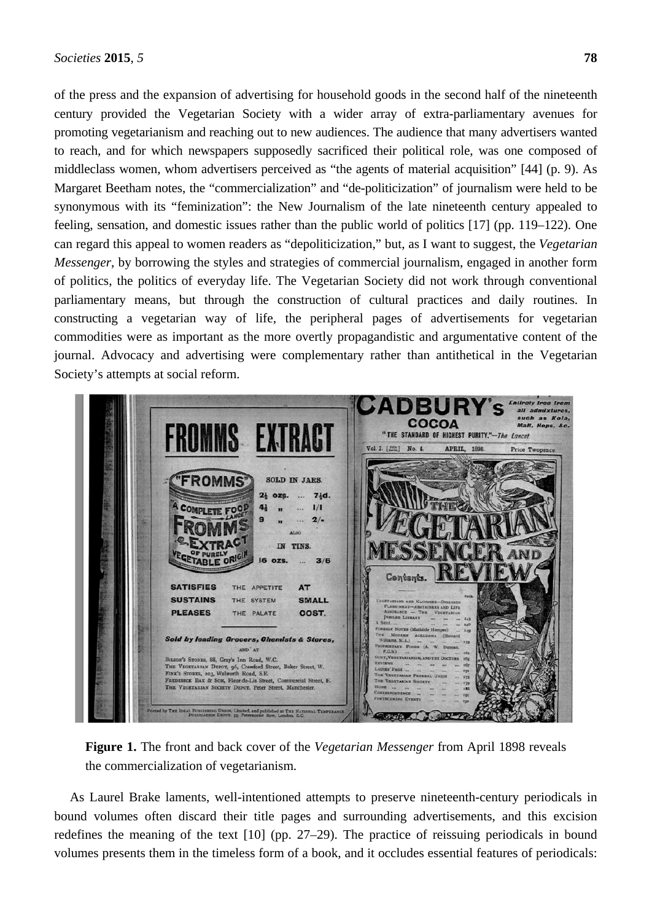of the press and the expansion of advertising for household goods in the second half of the nineteenth century provided the Vegetarian Society with a wider array of extra-parliamentary avenues for promoting vegetarianism and reaching out to new audiences. The audience that many advertisers wanted to reach, and for which newspapers supposedly sacrificed their political role, was one composed of middleclass women, whom advertisers perceived as "the agents of material acquisition" [44] (p. 9). As Margaret Beetham notes, the "commercialization" and "de-politicization" of journalism were held to be synonymous with its "feminization": the New Journalism of the late nineteenth century appealed to feeling, sensation, and domestic issues rather than the public world of politics [17] (pp. 119–122). One can regard this appeal to women readers as "depoliticization," but, as I want to suggest, the *Vegetarian Messenger*, by borrowing the styles and strategies of commercial journalism, engaged in another form of politics, the politics of everyday life. The Vegetarian Society did not work through conventional parliamentary means, but through the construction of cultural practices and daily routines. In constructing a vegetarian way of life, the peripheral pages of advertisements for vegetarian commodities were as important as the more overtly propagandistic and argumentative content of the journal. Advocacy and advertising were complementary rather than antithetical in the Vegetarian Society's attempts at social reform.



**Figure 1.** The front and back cover of the *Vegetarian Messenger* from April 1898 reveals the commercialization of vegetarianism.

As Laurel Brake laments, well-intentioned attempts to preserve nineteenth-century periodicals in bound volumes often discard their title pages and surrounding advertisements, and this excision redefines the meaning of the text [10] (pp. 27–29). The practice of reissuing periodicals in bound volumes presents them in the timeless form of a book, and it occludes essential features of periodicals: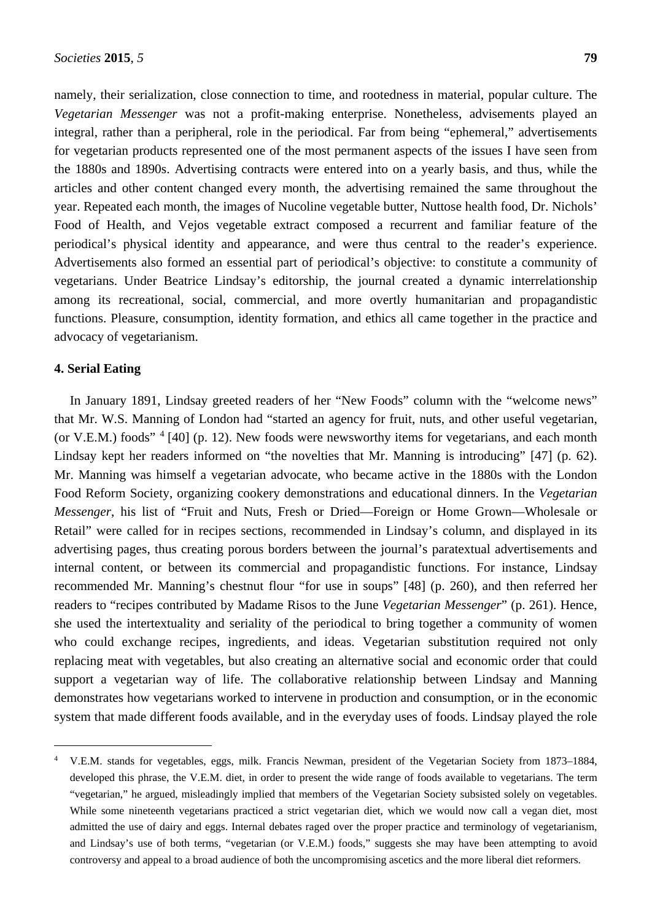namely, their serialization, close connection to time, and rootedness in material, popular culture. The *Vegetarian Messenger* was not a profit-making enterprise. Nonetheless, advisements played an integral, rather than a peripheral, role in the periodical. Far from being "ephemeral," advertisements for vegetarian products represented one of the most permanent aspects of the issues I have seen from the 1880s and 1890s. Advertising contracts were entered into on a yearly basis, and thus, while the articles and other content changed every month, the advertising remained the same throughout the year. Repeated each month, the images of Nucoline vegetable butter, Nuttose health food, Dr. Nichols' Food of Health, and Vejos vegetable extract composed a recurrent and familiar feature of the periodical's physical identity and appearance, and were thus central to the reader's experience. Advertisements also formed an essential part of periodical's objective: to constitute a community of vegetarians. Under Beatrice Lindsay's editorship, the journal created a dynamic interrelationship among its recreational, social, commercial, and more overtly humanitarian and propagandistic functions. Pleasure, consumption, identity formation, and ethics all came together in the practice and advocacy of vegetarianism.

### **4. Serial Eating**

 $\overline{a}$ 

In January 1891, Lindsay greeted readers of her "New Foods" column with the "welcome news" that Mr. W.S. Manning of London had "started an agency for fruit, nuts, and other useful vegetarian, (or V.E.M.) foods"  $4$  [40] (p. 12). New foods were newsworthy items for vegetarians, and each month Lindsay kept her readers informed on "the novelties that Mr. Manning is introducing" [47] (p. 62). Mr. Manning was himself a vegetarian advocate, who became active in the 1880s with the London Food Reform Society, organizing cookery demonstrations and educational dinners. In the *Vegetarian Messenger*, his list of "Fruit and Nuts, Fresh or Dried—Foreign or Home Grown—Wholesale or Retail" were called for in recipes sections, recommended in Lindsay's column, and displayed in its advertising pages, thus creating porous borders between the journal's paratextual advertisements and internal content, or between its commercial and propagandistic functions. For instance, Lindsay recommended Mr. Manning's chestnut flour "for use in soups" [48] (p. 260), and then referred her readers to "recipes contributed by Madame Risos to the June *Vegetarian Messenger*" (p. 261). Hence, she used the intertextuality and seriality of the periodical to bring together a community of women who could exchange recipes, ingredients, and ideas. Vegetarian substitution required not only replacing meat with vegetables, but also creating an alternative social and economic order that could support a vegetarian way of life. The collaborative relationship between Lindsay and Manning demonstrates how vegetarians worked to intervene in production and consumption, or in the economic system that made different foods available, and in the everyday uses of foods. Lindsay played the role

<span id="page-14-0"></span><sup>4</sup> V.E.M. stands for vegetables, eggs, milk. Francis Newman, president of the Vegetarian Society from 1873–1884, developed this phrase, the V.E.M. diet, in order to present the wide range of foods available to vegetarians. The term "vegetarian," he argued, misleadingly implied that members of the Vegetarian Society subsisted solely on vegetables. While some nineteenth vegetarians practiced a strict vegetarian diet, which we would now call a vegan diet, most admitted the use of dairy and eggs. Internal debates raged over the proper practice and terminology of vegetarianism, and Lindsay's use of both terms, "vegetarian (or V.E.M.) foods," suggests she may have been attempting to avoid controversy and appeal to a broad audience of both the uncompromising ascetics and the more liberal diet reformers.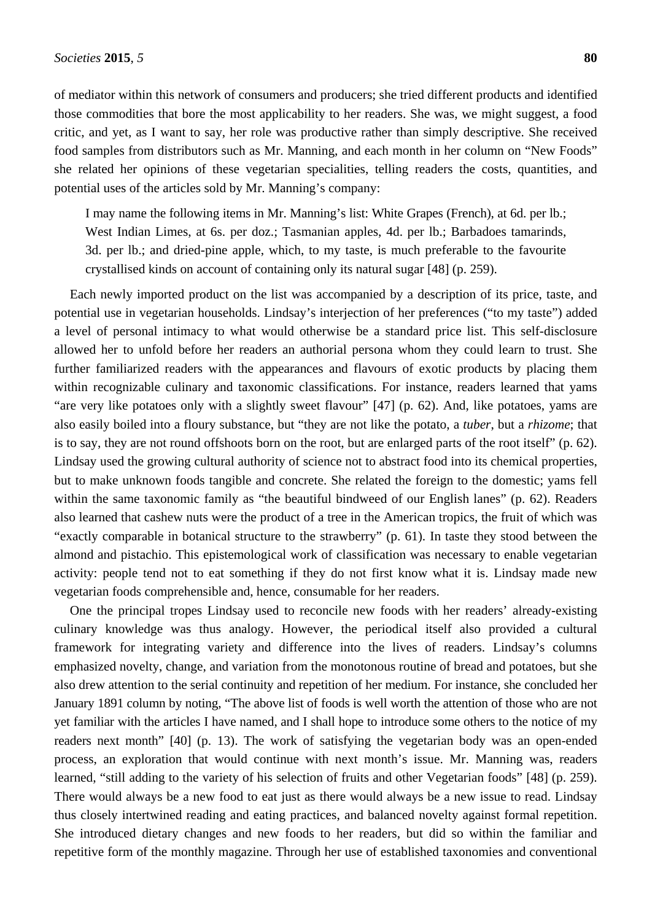of mediator within this network of consumers and producers; she tried different products and identified those commodities that bore the most applicability to her readers. She was, we might suggest, a food critic, and yet, as I want to say, her role was productive rather than simply descriptive. She received food samples from distributors such as Mr. Manning, and each month in her column on "New Foods" she related her opinions of these vegetarian specialities, telling readers the costs, quantities, and potential uses of the articles sold by Mr. Manning's company:

I may name the following items in Mr. Manning's list: White Grapes (French), at 6d. per lb.; West Indian Limes, at 6s. per doz.; Tasmanian apples, 4d. per lb.; Barbadoes tamarinds, 3d. per lb.; and dried-pine apple, which, to my taste, is much preferable to the favourite crystallised kinds on account of containing only its natural sugar [48] (p. 259).

Each newly imported product on the list was accompanied by a description of its price, taste, and potential use in vegetarian households. Lindsay's interjection of her preferences ("to my taste") added a level of personal intimacy to what would otherwise be a standard price list. This self-disclosure allowed her to unfold before her readers an authorial persona whom they could learn to trust. She further familiarized readers with the appearances and flavours of exotic products by placing them within recognizable culinary and taxonomic classifications. For instance, readers learned that yams "are very like potatoes only with a slightly sweet flavour" [47] (p. 62). And, like potatoes, yams are also easily boiled into a floury substance, but "they are not like the potato, a *tuber*, but a *rhizome*; that is to say, they are not round offshoots born on the root, but are enlarged parts of the root itself" (p. 62). Lindsay used the growing cultural authority of science not to abstract food into its chemical properties, but to make unknown foods tangible and concrete. She related the foreign to the domestic; yams fell within the same taxonomic family as "the beautiful bindweed of our English lanes" (p. 62). Readers also learned that cashew nuts were the product of a tree in the American tropics, the fruit of which was "exactly comparable in botanical structure to the strawberry" (p. 61). In taste they stood between the almond and pistachio. This epistemological work of classification was necessary to enable vegetarian activity: people tend not to eat something if they do not first know what it is. Lindsay made new vegetarian foods comprehensible and, hence, consumable for her readers.

One the principal tropes Lindsay used to reconcile new foods with her readers' already-existing culinary knowledge was thus analogy. However, the periodical itself also provided a cultural framework for integrating variety and difference into the lives of readers. Lindsay's columns emphasized novelty, change, and variation from the monotonous routine of bread and potatoes, but she also drew attention to the serial continuity and repetition of her medium. For instance, she concluded her January 1891 column by noting, "The above list of foods is well worth the attention of those who are not yet familiar with the articles I have named, and I shall hope to introduce some others to the notice of my readers next month" [40] (p. 13). The work of satisfying the vegetarian body was an open-ended process, an exploration that would continue with next month's issue. Mr. Manning was, readers learned, "still adding to the variety of his selection of fruits and other Vegetarian foods" [48] (p. 259). There would always be a new food to eat just as there would always be a new issue to read. Lindsay thus closely intertwined reading and eating practices, and balanced novelty against formal repetition. She introduced dietary changes and new foods to her readers, but did so within the familiar and repetitive form of the monthly magazine. Through her use of established taxonomies and conventional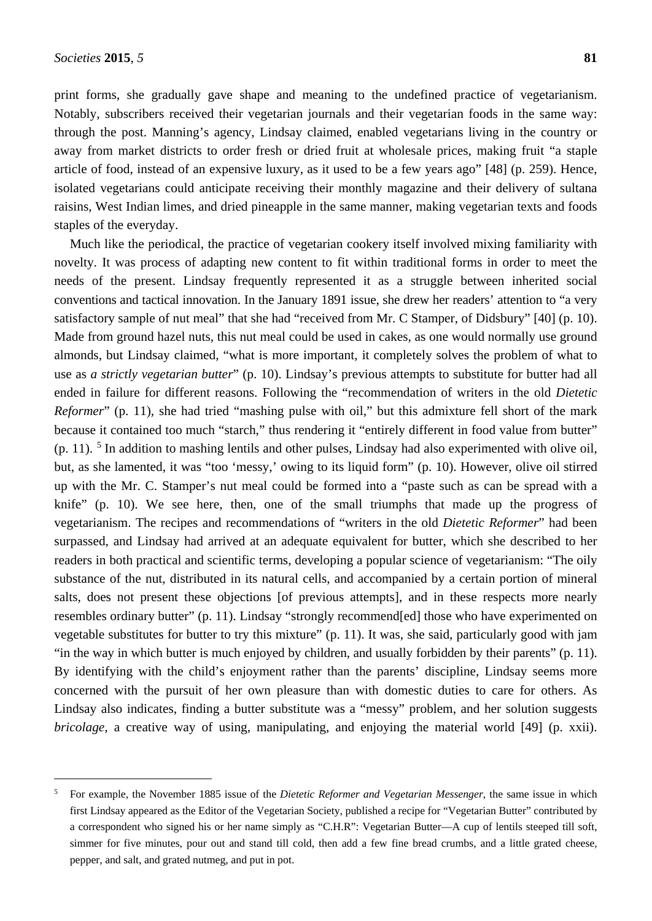$\overline{a}$ 

print forms, she gradually gave shape and meaning to the undefined practice of vegetarianism. Notably, subscribers received their vegetarian journals and their vegetarian foods in the same way: through the post. Manning's agency, Lindsay claimed, enabled vegetarians living in the country or away from market districts to order fresh or dried fruit at wholesale prices, making fruit "a staple article of food, instead of an expensive luxury, as it used to be a few years ago" [48] (p. 259). Hence, isolated vegetarians could anticipate receiving their monthly magazine and their delivery of sultana raisins, West Indian limes, and dried pineapple in the same manner, making vegetarian texts and foods staples of the everyday.

Much like the periodical, the practice of vegetarian cookery itself involved mixing familiarity with novelty. It was process of adapting new content to fit within traditional forms in order to meet the needs of the present. Lindsay frequently represented it as a struggle between inherited social conventions and tactical innovation. In the January 1891 issue, she drew her readers' attention to "a very satisfactory sample of nut meal" that she had "received from Mr. C Stamper, of Didsbury" [40] (p. 10). Made from ground hazel nuts, this nut meal could be used in cakes, as one would normally use ground almonds, but Lindsay claimed, "what is more important, it completely solves the problem of what to use as *a strictly vegetarian butter*" (p. 10). Lindsay's previous attempts to substitute for butter had all ended in failure for different reasons. Following the "recommendation of writers in the old *Dietetic Reformer*" (p. 11), she had tried "mashing pulse with oil," but this admixture fell short of the mark because it contained too much "starch," thus rendering it "entirely different in food value from butter" (p. 11). [5](#page-16-0) In addition to mashing lentils and other pulses, Lindsay had also experimented with olive oil, but, as she lamented, it was "too 'messy,' owing to its liquid form" (p. 10). However, olive oil stirred up with the Mr. C. Stamper's nut meal could be formed into a "paste such as can be spread with a knife" (p. 10). We see here, then, one of the small triumphs that made up the progress of vegetarianism. The recipes and recommendations of "writers in the old *Dietetic Reformer*" had been surpassed, and Lindsay had arrived at an adequate equivalent for butter, which she described to her readers in both practical and scientific terms, developing a popular science of vegetarianism: "The oily substance of the nut, distributed in its natural cells, and accompanied by a certain portion of mineral salts, does not present these objections [of previous attempts], and in these respects more nearly resembles ordinary butter" (p. 11). Lindsay "strongly recommend[ed] those who have experimented on vegetable substitutes for butter to try this mixture" (p. 11). It was, she said, particularly good with jam "in the way in which butter is much enjoyed by children, and usually forbidden by their parents" (p. 11). By identifying with the child's enjoyment rather than the parents' discipline, Lindsay seems more concerned with the pursuit of her own pleasure than with domestic duties to care for others. As Lindsay also indicates, finding a butter substitute was a "messy" problem, and her solution suggests *bricolage*, a creative way of using, manipulating, and enjoying the material world [49] (p. xxii).

<span id="page-16-0"></span><sup>5</sup> For example, the November 1885 issue of the *Dietetic Reformer and Vegetarian Messenger*, the same issue in which first Lindsay appeared as the Editor of the Vegetarian Society, published a recipe for "Vegetarian Butter" contributed by a correspondent who signed his or her name simply as "C.H.R": Vegetarian Butter—A cup of lentils steeped till soft, simmer for five minutes, pour out and stand till cold, then add a few fine bread crumbs, and a little grated cheese, pepper, and salt, and grated nutmeg, and put in pot.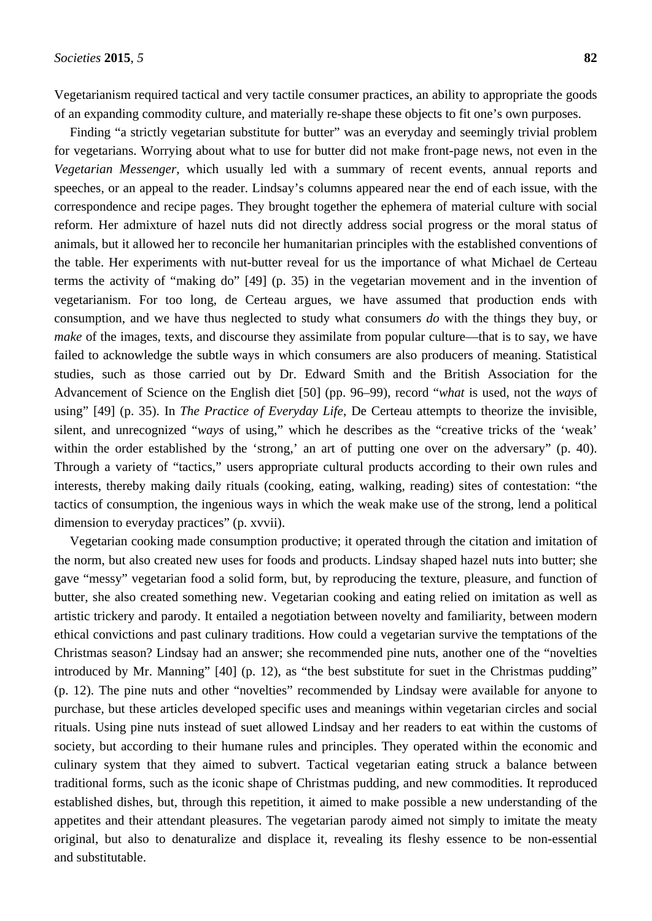Vegetarianism required tactical and very tactile consumer practices, an ability to appropriate the goods of an expanding commodity culture, and materially re-shape these objects to fit one's own purposes.

Finding "a strictly vegetarian substitute for butter" was an everyday and seemingly trivial problem for vegetarians. Worrying about what to use for butter did not make front-page news, not even in the *Vegetarian Messenger*, which usually led with a summary of recent events, annual reports and speeches, or an appeal to the reader. Lindsay's columns appeared near the end of each issue, with the correspondence and recipe pages. They brought together the ephemera of material culture with social reform. Her admixture of hazel nuts did not directly address social progress or the moral status of animals, but it allowed her to reconcile her humanitarian principles with the established conventions of the table. Her experiments with nut-butter reveal for us the importance of what Michael de Certeau terms the activity of "making do" [49] (p. 35) in the vegetarian movement and in the invention of vegetarianism. For too long, de Certeau argues, we have assumed that production ends with consumption, and we have thus neglected to study what consumers *do* with the things they buy, or *make* of the images, texts, and discourse they assimilate from popular culture—that is to say, we have failed to acknowledge the subtle ways in which consumers are also producers of meaning. Statistical studies, such as those carried out by Dr. Edward Smith and the British Association for the Advancement of Science on the English diet [50] (pp. 96–99), record "*what* is used, not the *ways* of using" [49] (p. 35). In *The Practice of Everyday Life*, De Certeau attempts to theorize the invisible, silent, and unrecognized "*ways* of using," which he describes as the "creative tricks of the 'weak' within the order established by the 'strong,' an art of putting one over on the adversary" (p. 40). Through a variety of "tactics," users appropriate cultural products according to their own rules and interests, thereby making daily rituals (cooking, eating, walking, reading) sites of contestation: "the tactics of consumption, the ingenious ways in which the weak make use of the strong, lend a political dimension to everyday practices" (p. xvvii).

Vegetarian cooking made consumption productive; it operated through the citation and imitation of the norm, but also created new uses for foods and products. Lindsay shaped hazel nuts into butter; she gave "messy" vegetarian food a solid form, but, by reproducing the texture, pleasure, and function of butter, she also created something new. Vegetarian cooking and eating relied on imitation as well as artistic trickery and parody. It entailed a negotiation between novelty and familiarity, between modern ethical convictions and past culinary traditions. How could a vegetarian survive the temptations of the Christmas season? Lindsay had an answer; she recommended pine nuts, another one of the "novelties introduced by Mr. Manning" [40] (p. 12), as "the best substitute for suet in the Christmas pudding" (p. 12). The pine nuts and other "novelties" recommended by Lindsay were available for anyone to purchase, but these articles developed specific uses and meanings within vegetarian circles and social rituals. Using pine nuts instead of suet allowed Lindsay and her readers to eat within the customs of society, but according to their humane rules and principles. They operated within the economic and culinary system that they aimed to subvert. Tactical vegetarian eating struck a balance between traditional forms, such as the iconic shape of Christmas pudding, and new commodities. It reproduced established dishes, but, through this repetition, it aimed to make possible a new understanding of the appetites and their attendant pleasures. The vegetarian parody aimed not simply to imitate the meaty original, but also to denaturalize and displace it, revealing its fleshy essence to be non-essential and substitutable.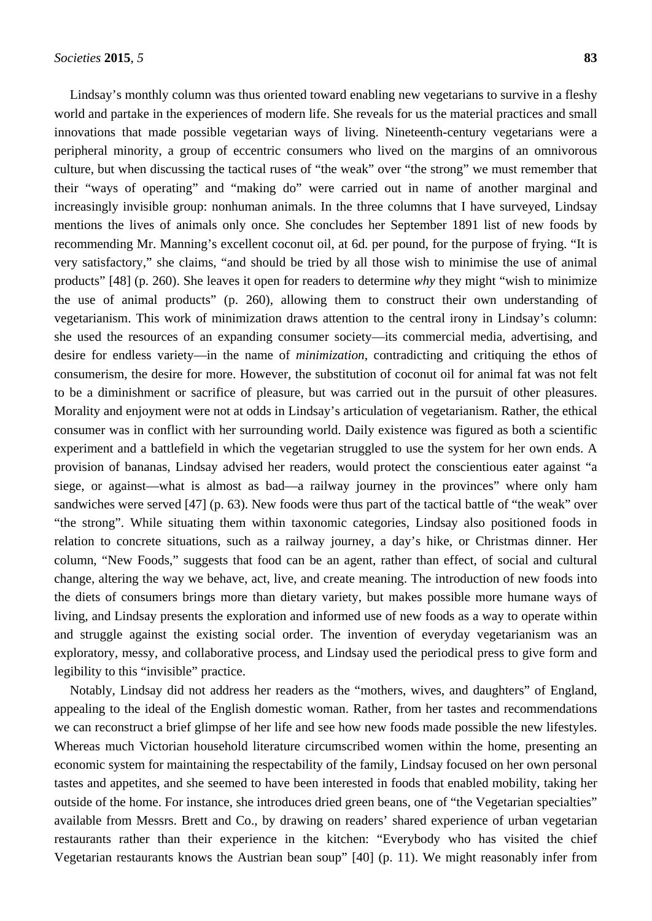Lindsay's monthly column was thus oriented toward enabling new vegetarians to survive in a fleshy world and partake in the experiences of modern life. She reveals for us the material practices and small innovations that made possible vegetarian ways of living. Nineteenth-century vegetarians were a peripheral minority, a group of eccentric consumers who lived on the margins of an omnivorous culture, but when discussing the tactical ruses of "the weak" over "the strong" we must remember that their "ways of operating" and "making do" were carried out in name of another marginal and increasingly invisible group: nonhuman animals. In the three columns that I have surveyed, Lindsay mentions the lives of animals only once. She concludes her September 1891 list of new foods by recommending Mr. Manning's excellent coconut oil, at 6d. per pound, for the purpose of frying. "It is very satisfactory," she claims, "and should be tried by all those wish to minimise the use of animal products" [48] (p. 260). She leaves it open for readers to determine *why* they might "wish to minimize the use of animal products" (p. 260), allowing them to construct their own understanding of vegetarianism. This work of minimization draws attention to the central irony in Lindsay's column: she used the resources of an expanding consumer society—its commercial media, advertising, and desire for endless variety—in the name of *minimization*, contradicting and critiquing the ethos of consumerism, the desire for more. However, the substitution of coconut oil for animal fat was not felt to be a diminishment or sacrifice of pleasure, but was carried out in the pursuit of other pleasures. Morality and enjoyment were not at odds in Lindsay's articulation of vegetarianism. Rather, the ethical consumer was in conflict with her surrounding world. Daily existence was figured as both a scientific experiment and a battlefield in which the vegetarian struggled to use the system for her own ends. A provision of bananas, Lindsay advised her readers, would protect the conscientious eater against "a siege, or against—what is almost as bad—a railway journey in the provinces" where only ham sandwiches were served [47] (p. 63). New foods were thus part of the tactical battle of "the weak" over "the strong". While situating them within taxonomic categories, Lindsay also positioned foods in relation to concrete situations, such as a railway journey, a day's hike, or Christmas dinner. Her column, "New Foods," suggests that food can be an agent, rather than effect, of social and cultural change, altering the way we behave, act, live, and create meaning. The introduction of new foods into the diets of consumers brings more than dietary variety, but makes possible more humane ways of living, and Lindsay presents the exploration and informed use of new foods as a way to operate within and struggle against the existing social order. The invention of everyday vegetarianism was an exploratory, messy, and collaborative process, and Lindsay used the periodical press to give form and legibility to this "invisible" practice.

Notably, Lindsay did not address her readers as the "mothers, wives, and daughters" of England, appealing to the ideal of the English domestic woman. Rather, from her tastes and recommendations we can reconstruct a brief glimpse of her life and see how new foods made possible the new lifestyles. Whereas much Victorian household literature circumscribed women within the home, presenting an economic system for maintaining the respectability of the family, Lindsay focused on her own personal tastes and appetites, and she seemed to have been interested in foods that enabled mobility, taking her outside of the home. For instance, she introduces dried green beans, one of "the Vegetarian specialties" available from Messrs. Brett and Co., by drawing on readers' shared experience of urban vegetarian restaurants rather than their experience in the kitchen: "Everybody who has visited the chief Vegetarian restaurants knows the Austrian bean soup" [40] (p. 11). We might reasonably infer from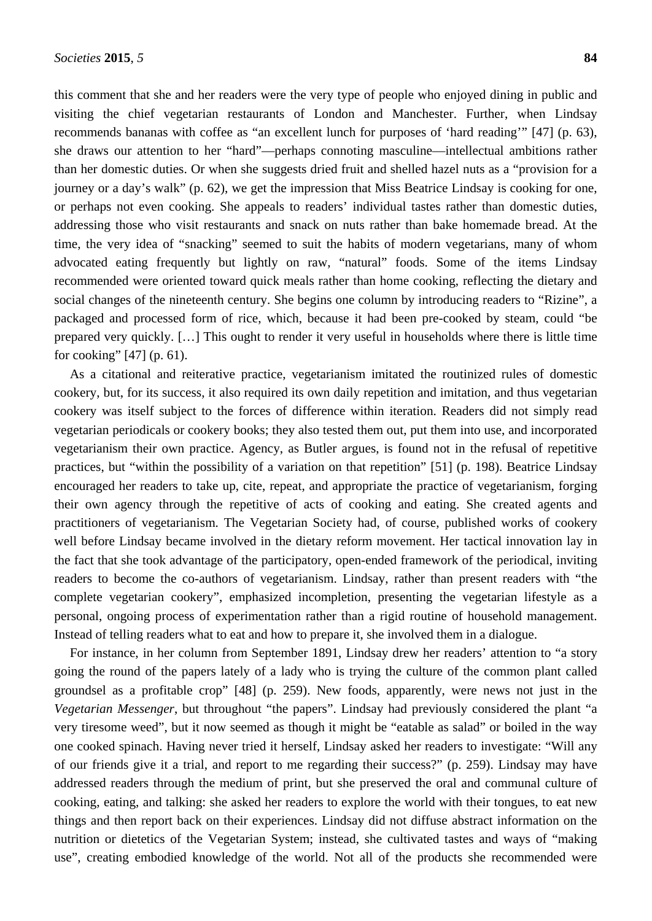this comment that she and her readers were the very type of people who enjoyed dining in public and visiting the chief vegetarian restaurants of London and Manchester. Further, when Lindsay recommends bananas with coffee as "an excellent lunch for purposes of 'hard reading'" [47] (p. 63), she draws our attention to her "hard"—perhaps connoting masculine—intellectual ambitions rather than her domestic duties. Or when she suggests dried fruit and shelled hazel nuts as a "provision for a journey or a day's walk" (p. 62), we get the impression that Miss Beatrice Lindsay is cooking for one, or perhaps not even cooking. She appeals to readers' individual tastes rather than domestic duties, addressing those who visit restaurants and snack on nuts rather than bake homemade bread. At the time, the very idea of "snacking" seemed to suit the habits of modern vegetarians, many of whom advocated eating frequently but lightly on raw, "natural" foods. Some of the items Lindsay recommended were oriented toward quick meals rather than home cooking, reflecting the dietary and social changes of the nineteenth century. She begins one column by introducing readers to "Rizine", a packaged and processed form of rice, which, because it had been pre-cooked by steam, could "be prepared very quickly. […] This ought to render it very useful in households where there is little time for cooking" [47] (p. 61).

As a citational and reiterative practice, vegetarianism imitated the routinized rules of domestic cookery, but, for its success, it also required its own daily repetition and imitation, and thus vegetarian cookery was itself subject to the forces of difference within iteration. Readers did not simply read vegetarian periodicals or cookery books; they also tested them out, put them into use, and incorporated vegetarianism their own practice. Agency, as Butler argues, is found not in the refusal of repetitive practices, but "within the possibility of a variation on that repetition" [51] (p. 198). Beatrice Lindsay encouraged her readers to take up, cite, repeat, and appropriate the practice of vegetarianism, forging their own agency through the repetitive of acts of cooking and eating. She created agents and practitioners of vegetarianism. The Vegetarian Society had, of course, published works of cookery well before Lindsay became involved in the dietary reform movement. Her tactical innovation lay in the fact that she took advantage of the participatory, open-ended framework of the periodical, inviting readers to become the co-authors of vegetarianism. Lindsay, rather than present readers with "the complete vegetarian cookery", emphasized incompletion, presenting the vegetarian lifestyle as a personal, ongoing process of experimentation rather than a rigid routine of household management. Instead of telling readers what to eat and how to prepare it, she involved them in a dialogue.

For instance, in her column from September 1891, Lindsay drew her readers' attention to "a story going the round of the papers lately of a lady who is trying the culture of the common plant called groundsel as a profitable crop" [48] (p. 259). New foods, apparently, were news not just in the *Vegetarian Messenger*, but throughout "the papers". Lindsay had previously considered the plant "a very tiresome weed", but it now seemed as though it might be "eatable as salad" or boiled in the way one cooked spinach. Having never tried it herself, Lindsay asked her readers to investigate: "Will any of our friends give it a trial, and report to me regarding their success?" (p. 259). Lindsay may have addressed readers through the medium of print, but she preserved the oral and communal culture of cooking, eating, and talking: she asked her readers to explore the world with their tongues, to eat new things and then report back on their experiences. Lindsay did not diffuse abstract information on the nutrition or dietetics of the Vegetarian System; instead, she cultivated tastes and ways of "making use", creating embodied knowledge of the world. Not all of the products she recommended were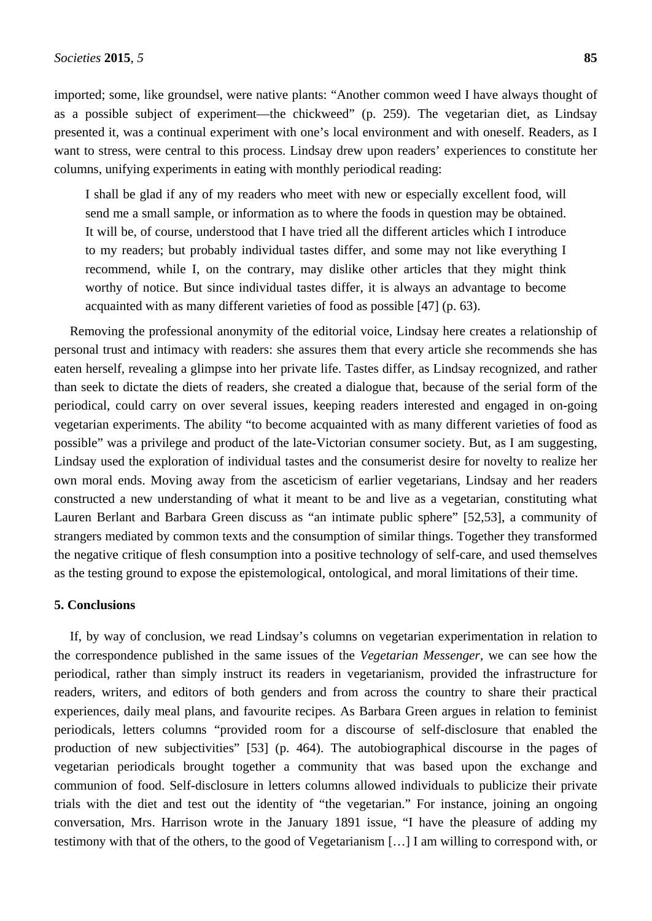imported; some, like groundsel, were native plants: "Another common weed I have always thought of as a possible subject of experiment—the chickweed" (p. 259). The vegetarian diet, as Lindsay presented it, was a continual experiment with one's local environment and with oneself. Readers, as I want to stress, were central to this process. Lindsay drew upon readers' experiences to constitute her columns, unifying experiments in eating with monthly periodical reading:

I shall be glad if any of my readers who meet with new or especially excellent food, will send me a small sample, or information as to where the foods in question may be obtained. It will be, of course, understood that I have tried all the different articles which I introduce to my readers; but probably individual tastes differ, and some may not like everything I recommend, while I, on the contrary, may dislike other articles that they might think worthy of notice. But since individual tastes differ, it is always an advantage to become acquainted with as many different varieties of food as possible [47] (p. 63).

Removing the professional anonymity of the editorial voice, Lindsay here creates a relationship of personal trust and intimacy with readers: she assures them that every article she recommends she has eaten herself, revealing a glimpse into her private life. Tastes differ, as Lindsay recognized, and rather than seek to dictate the diets of readers, she created a dialogue that, because of the serial form of the periodical, could carry on over several issues, keeping readers interested and engaged in on-going vegetarian experiments. The ability "to become acquainted with as many different varieties of food as possible" was a privilege and product of the late-Victorian consumer society. But, as I am suggesting, Lindsay used the exploration of individual tastes and the consumerist desire for novelty to realize her own moral ends. Moving away from the asceticism of earlier vegetarians, Lindsay and her readers constructed a new understanding of what it meant to be and live as a vegetarian, constituting what Lauren Berlant and Barbara Green discuss as "an intimate public sphere" [52,53], a community of strangers mediated by common texts and the consumption of similar things. Together they transformed the negative critique of flesh consumption into a positive technology of self-care, and used themselves as the testing ground to expose the epistemological, ontological, and moral limitations of their time.

#### **5. Conclusions**

If, by way of conclusion, we read Lindsay's columns on vegetarian experimentation in relation to the correspondence published in the same issues of the *Vegetarian Messenger*, we can see how the periodical, rather than simply instruct its readers in vegetarianism, provided the infrastructure for readers, writers, and editors of both genders and from across the country to share their practical experiences, daily meal plans, and favourite recipes. As Barbara Green argues in relation to feminist periodicals, letters columns "provided room for a discourse of self-disclosure that enabled the production of new subjectivities" [53] (p. 464). The autobiographical discourse in the pages of vegetarian periodicals brought together a community that was based upon the exchange and communion of food. Self-disclosure in letters columns allowed individuals to publicize their private trials with the diet and test out the identity of "the vegetarian." For instance, joining an ongoing conversation, Mrs. Harrison wrote in the January 1891 issue, "I have the pleasure of adding my testimony with that of the others, to the good of Vegetarianism […] I am willing to correspond with, or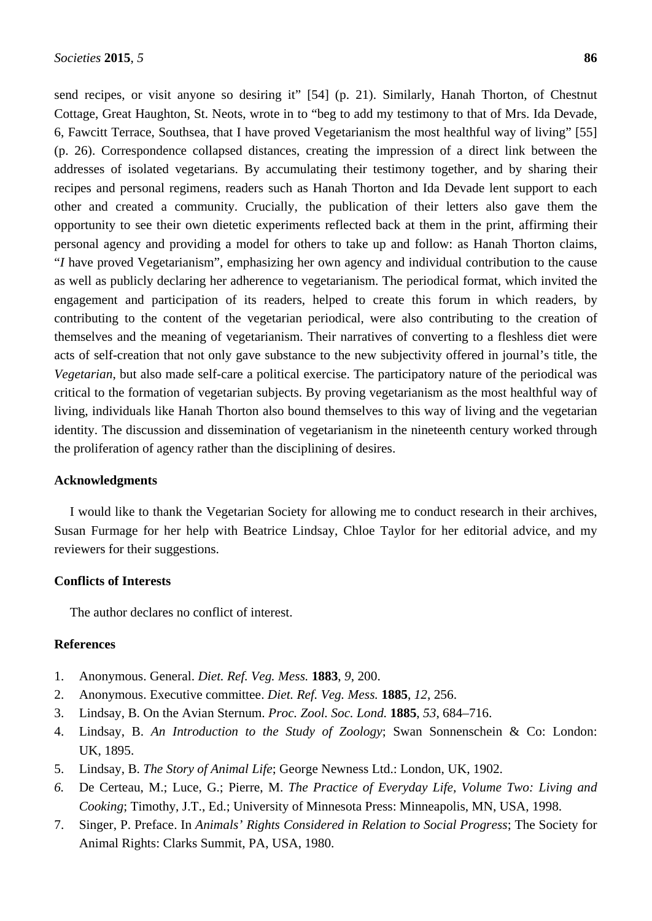send recipes, or visit anyone so desiring it" [54] (p. 21). Similarly, Hanah Thorton, of Chestnut Cottage, Great Haughton, St. Neots, wrote in to "beg to add my testimony to that of Mrs. Ida Devade, 6, Fawcitt Terrace, Southsea, that I have proved Vegetarianism the most healthful way of living" [55] (p. 26). Correspondence collapsed distances, creating the impression of a direct link between the addresses of isolated vegetarians. By accumulating their testimony together, and by sharing their recipes and personal regimens, readers such as Hanah Thorton and Ida Devade lent support to each other and created a community. Crucially, the publication of their letters also gave them the opportunity to see their own dietetic experiments reflected back at them in the print, affirming their personal agency and providing a model for others to take up and follow: as Hanah Thorton claims, "*I* have proved Vegetarianism", emphasizing her own agency and individual contribution to the cause as well as publicly declaring her adherence to vegetarianism. The periodical format, which invited the engagement and participation of its readers, helped to create this forum in which readers, by contributing to the content of the vegetarian periodical, were also contributing to the creation of themselves and the meaning of vegetarianism. Their narratives of converting to a fleshless diet were acts of self-creation that not only gave substance to the new subjectivity offered in journal's title, the *Vegetarian*, but also made self-care a political exercise. The participatory nature of the periodical was critical to the formation of vegetarian subjects. By proving vegetarianism as the most healthful way of living, individuals like Hanah Thorton also bound themselves to this way of living and the vegetarian identity. The discussion and dissemination of vegetarianism in the nineteenth century worked through the proliferation of agency rather than the disciplining of desires.

#### **Acknowledgments**

I would like to thank the Vegetarian Society for allowing me to conduct research in their archives, Susan Furmage for her help with Beatrice Lindsay, Chloe Taylor for her editorial advice, and my reviewers for their suggestions.

# **Conflicts of Interests**

The author declares no conflict of interest.

#### **References**

- 1. Anonymous. General. *Diet. Ref. Veg. Mess.* **1883**, *9*, 200.
- 2. Anonymous. Executive committee. *Diet. Ref. Veg. Mess.* **1885**, *12*, 256.
- 3. Lindsay, B. On the Avian Sternum. *Proc. Zool. Soc. Lond.* **1885**, *53*, 684–716.
- 4. Lindsay, B. *An Introduction to the Study of Zoology*; Swan Sonnenschein & Co: London: UK, 1895.
- 5. Lindsay, B. *The Story of Animal Life*; George Newness Ltd.: London, UK, 1902.
- *6.* De Certeau, M.; Luce, G.; Pierre, M. *The Practice of Everyday Life, Volume Two: Living and Cooking*; Timothy, J.T., Ed.; University of Minnesota Press: Minneapolis, MN, USA, 1998.
- 7. Singer, P. Preface. In *Animals' Rights Considered in Relation to Social Progress*; The Society for Animal Rights: Clarks Summit, PA, USA, 1980.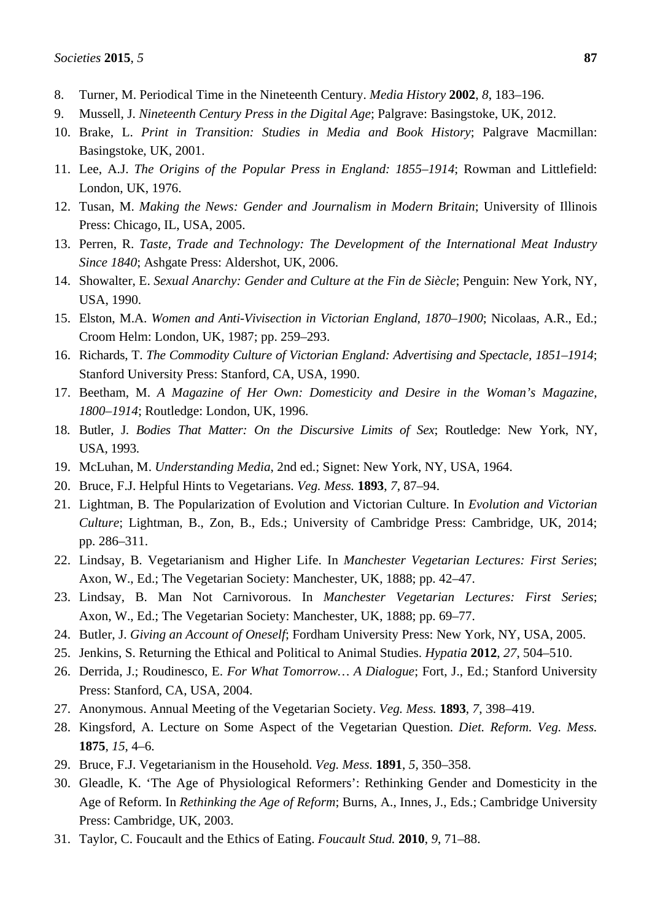- 8. Turner, M. Periodical Time in the Nineteenth Century. *Media History* **2002**, *8*, 183–196.
- 9. Mussell, J. *Nineteenth Century Press in the Digital Age*; Palgrave: Basingstoke, UK, 2012.
- 10. Brake, L. *Print in Transition: Studies in Media and Book History*; Palgrave Macmillan: Basingstoke, UK, 2001.
- 11. Lee, A.J. *The Origins of the Popular Press in England: 1855–1914*; Rowman and Littlefield: London, UK, 1976.
- 12. Tusan, M. *Making the News: Gender and Journalism in Modern Britain*; University of Illinois Press: Chicago, IL, USA, 2005.
- 13. Perren, R. *Taste, Trade and Technology: The Development of the International Meat Industry Since 1840*; Ashgate Press: Aldershot, UK, 2006.
- 14. Showalter, E. *Sexual Anarchy: Gender and Culture at the Fin de Siècle*; Penguin: New York, NY, USA, 1990.
- 15. Elston, M.A. *Women and Anti-Vivisection in Victorian England, 1870–1900*; Nicolaas, A.R., Ed.; Croom Helm: London, UK, 1987; pp. 259–293.
- 16. Richards, T. *The Commodity Culture of Victorian England: Advertising and Spectacle, 1851–1914*; Stanford University Press: Stanford, CA, USA, 1990.
- 17. Beetham, M. *A Magazine of Her Own: Domesticity and Desire in the Woman's Magazine, 1800–1914*; Routledge: London, UK, 1996.
- 18. Butler, J. *Bodies That Matter: On the Discursive Limits of Sex*; Routledge: New York, NY, USA, 1993.
- 19. McLuhan, M. *Understanding Media*, 2nd ed.; Signet: New York, NY, USA, 1964.
- 20. Bruce, F.J. Helpful Hints to Vegetarians. *Veg. Mess.* **1893**, *7*, 87–94.
- 21. Lightman, B. The Popularization of Evolution and Victorian Culture. In *Evolution and Victorian Culture*; Lightman, B., Zon, B., Eds.; University of Cambridge Press: Cambridge, UK, 2014; pp. 286–311.
- 22. Lindsay, B. Vegetarianism and Higher Life. In *Manchester Vegetarian Lectures: First Series*; Axon, W., Ed.; The Vegetarian Society: Manchester, UK, 1888; pp. 42–47.
- 23. Lindsay, B. Man Not Carnivorous. In *Manchester Vegetarian Lectures: First Series*; Axon, W., Ed.; The Vegetarian Society: Manchester, UK, 1888; pp. 69–77.
- 24. Butler, J. *Giving an Account of Oneself*; Fordham University Press: New York, NY, USA, 2005.
- 25. Jenkins, S. Returning the Ethical and Political to Animal Studies. *Hypatia* **2012**, *27*, 504–510.
- 26. Derrida, J.; Roudinesco, E. *For What Tomorrow… A Dialogue*; Fort, J., Ed.; Stanford University Press: Stanford, CA, USA, 2004.
- 27. Anonymous. Annual Meeting of the Vegetarian Society. *Veg. Mess.* **1893**, *7*, 398–419.
- 28. Kingsford, A. Lecture on Some Aspect of the Vegetarian Question. *Diet. Reform. Veg. Mess.* **1875**, *15*, 4–6.
- 29. Bruce, F.J. Vegetarianism in the Household. *Veg. Mess.* **1891**, *5*, 350–358.
- 30. Gleadle, K. 'The Age of Physiological Reformers': Rethinking Gender and Domesticity in the Age of Reform. In *Rethinking the Age of Reform*; Burns, A., Innes, J., Eds.; Cambridge University Press: Cambridge, UK, 2003.
- 31. Taylor, C. Foucault and the Ethics of Eating. *Foucault Stud.* **2010**, *9*, 71–88.